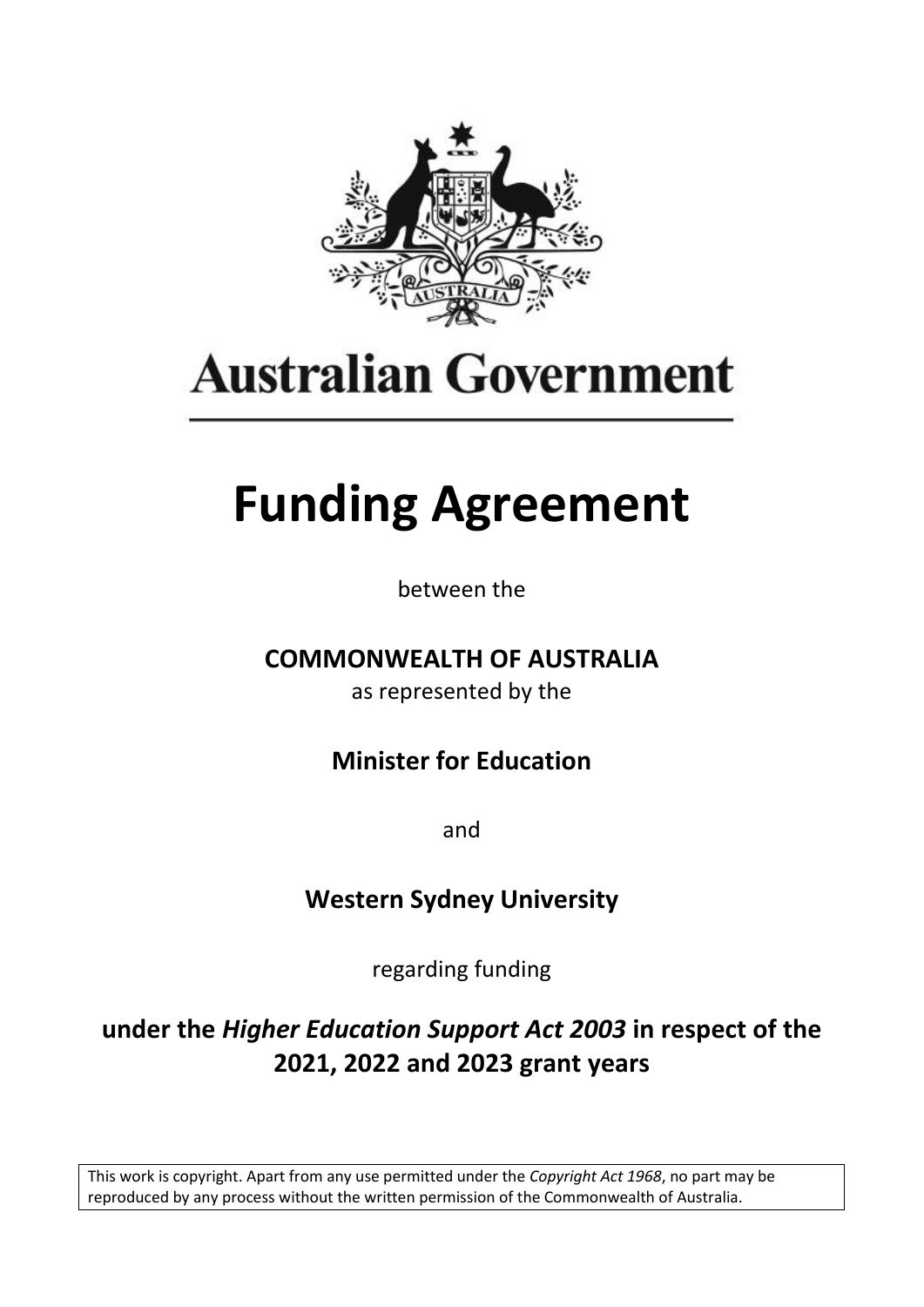

# **Australian Government**

# **Funding Agreement**

between the

# **COMMONWEALTH OF AUSTRALIA**

as represented by the

**Minister for Education** 

and

# **Western Sydney University**

regarding funding

**under the** *Higher Education Support Act 2003* **in respect of the 2021, 2022 and 2023 grant years**

This work is copyright. Apart from any use permitted under the *Copyright Act 1968*, no part may be reproduced by any process without the written permission of the Commonwealth of Australia.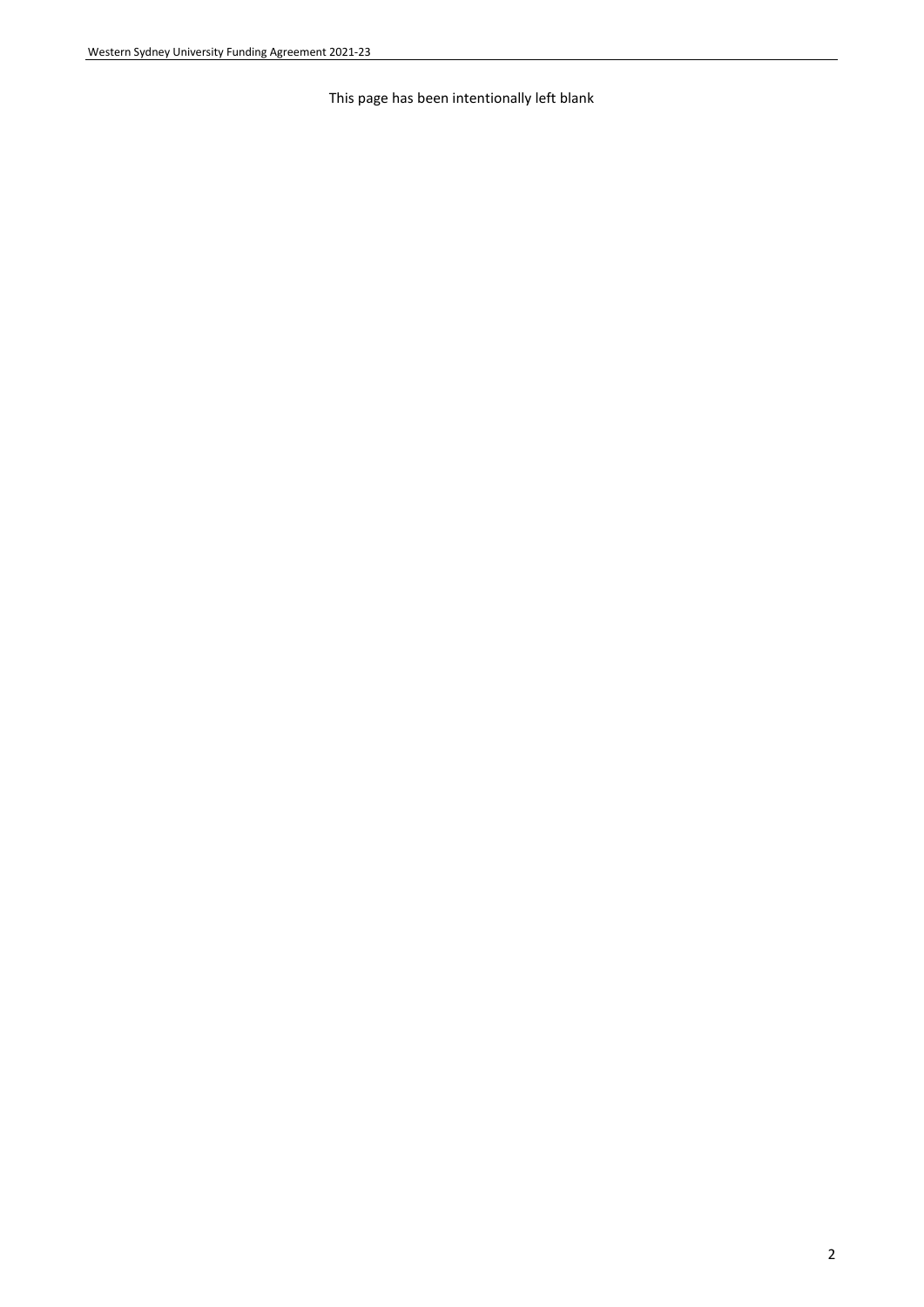This page has been intentionally left blank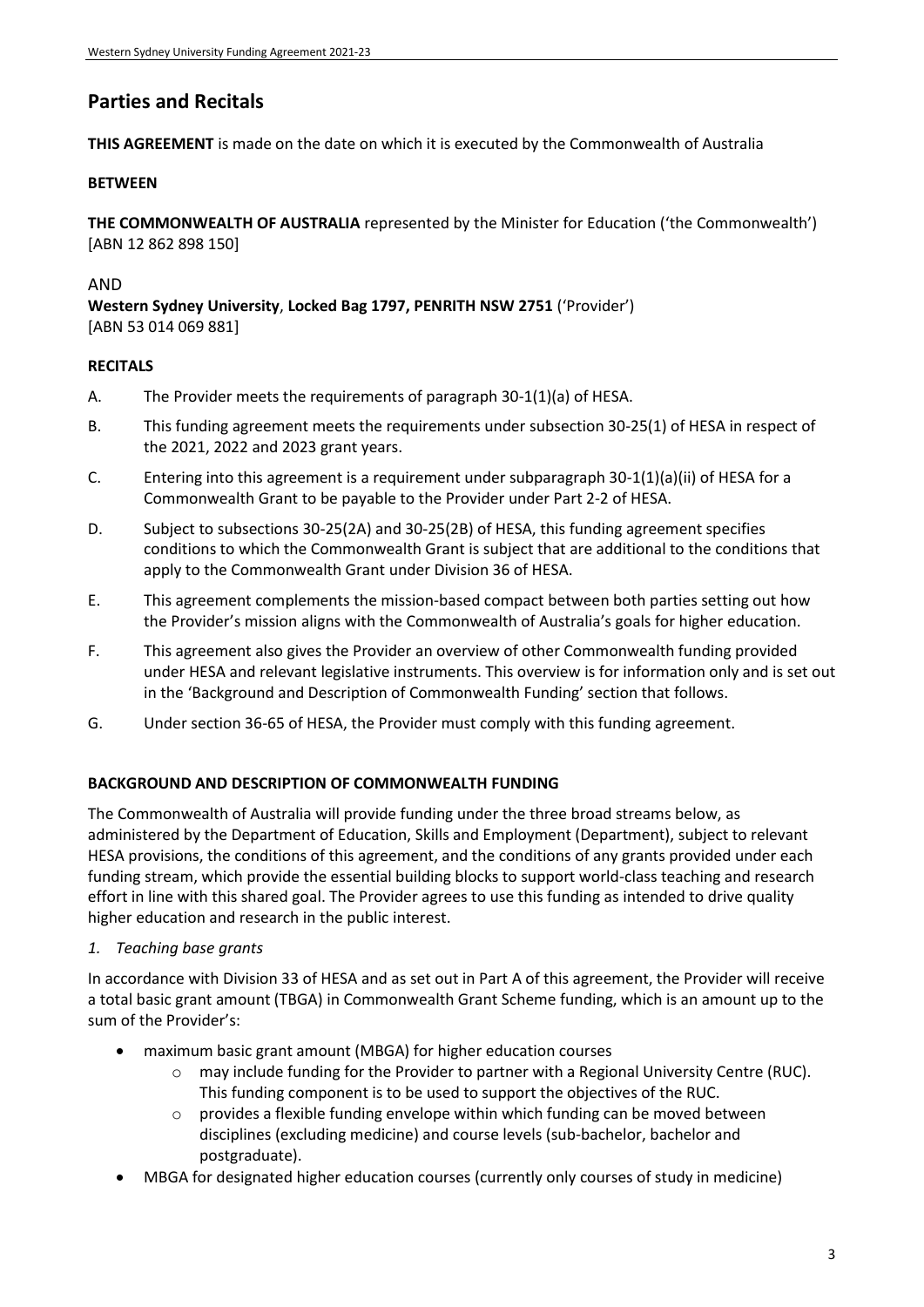# **Parties and Recitals**

**THIS AGREEMENT** is made on the date on which it is executed by the Commonwealth of Australia

# **BETWEEN**

**THE COMMONWEALTH OF AUSTRALIA** represented by the Minister for Education ('the Commonwealth') [ABN 12 862 898 150]

# AND

**Western Sydney University**, **Locked Bag 1797, PENRITH NSW 2751** ('Provider') [ABN 53 014 069 881]

# **RECITALS**

- A. The Provider meets the requirements of paragraph 30-1(1)(a) of HESA.
- B. This funding agreement meets the requirements under subsection 30-25(1) of HESA in respect of the 2021, 2022 and 2023 grant years.
- C. Entering into this agreement is a requirement under subparagraph 30-1(1)(a)(ii) of HESA for a Commonwealth Grant to be payable to the Provider under Part 2-2 of HESA.
- D. Subject to subsections 30-25(2A) and 30-25(2B) of HESA, this funding agreement specifies conditions to which the Commonwealth Grant is subject that are additional to the conditions that apply to the Commonwealth Grant under Division 36 of HESA.
- E. This agreement complements the mission-based compact between both parties setting out how the Provider's mission aligns with the Commonwealth of Australia's goals for higher education.
- F. This agreement also gives the Provider an overview of other Commonwealth funding provided under HESA and relevant legislative instruments. This overview is for information only and is set out in the 'Background and Description of Commonwealth Funding' section that follows.
- G. Under section 36-65 of HESA, the Provider must comply with this funding agreement.

# **BACKGROUND AND DESCRIPTION OF COMMONWEALTH FUNDING**

The Commonwealth of Australia will provide funding under the three broad streams below, as administered by the Department of Education, Skills and Employment (Department), subject to relevant HESA provisions, the conditions of this agreement, and the conditions of any grants provided under each funding stream, which provide the essential building blocks to support world-class teaching and research effort in line with this shared goal. The Provider agrees to use this funding as intended to drive quality higher education and research in the public interest.

# *1. Teaching base grants*

In accordance with Division 33 of HESA and as set out in Part A of this agreement, the Provider will receive a total basic grant amount (TBGA) in Commonwealth Grant Scheme funding, which is an amount up to the sum of the Provider's:

- maximum basic grant amount (MBGA) for higher education courses
	- o may include funding for the Provider to partner with a Regional University Centre (RUC). This funding component is to be used to support the objectives of the RUC.
	- $\circ$  provides a flexible funding envelope within which funding can be moved between disciplines (excluding medicine) and course levels (sub-bachelor, bachelor and postgraduate).
- MBGA for designated higher education courses (currently only courses of study in medicine)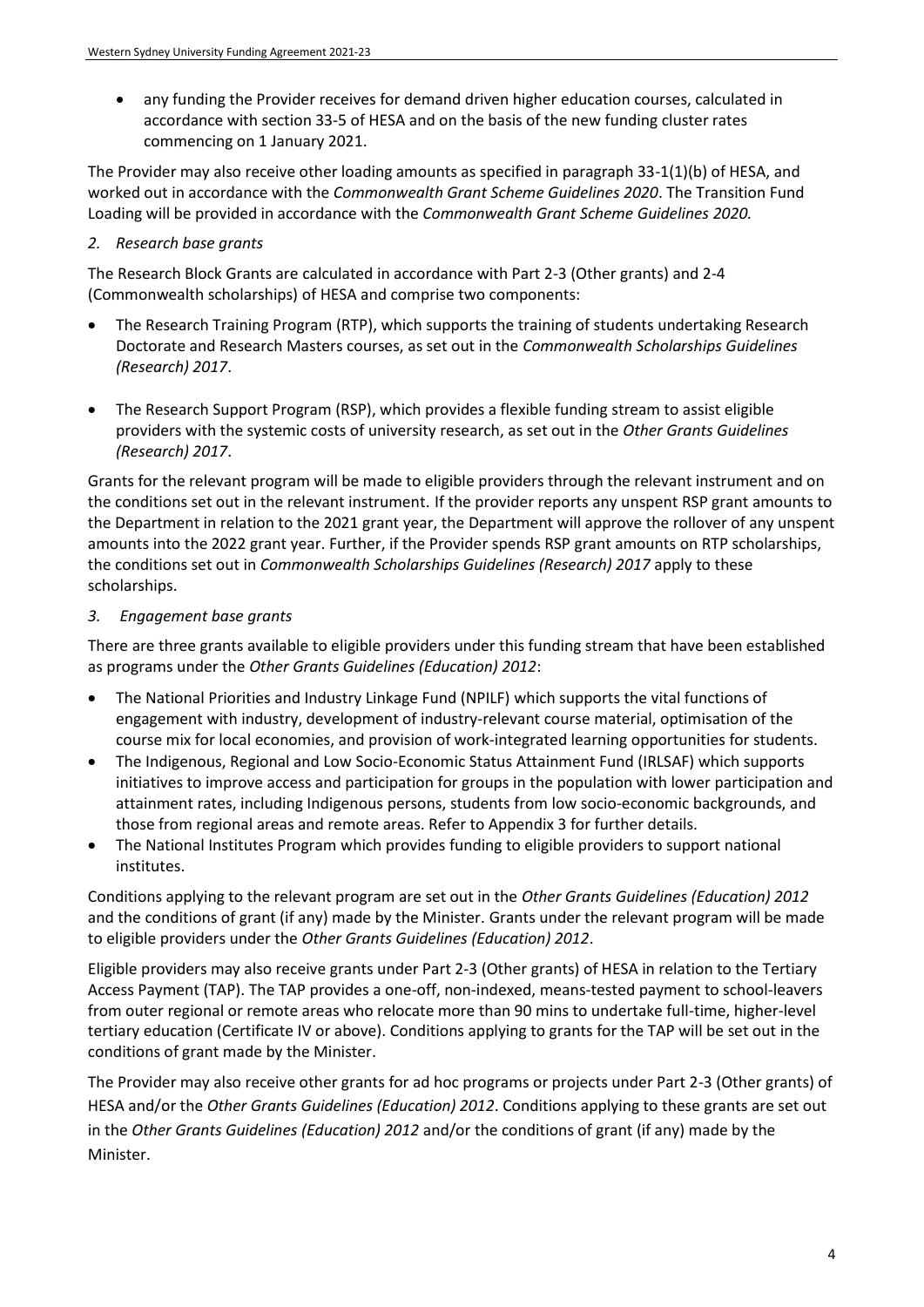• any funding the Provider receives for demand driven higher education courses, calculated in accordance with section 33-5 of HESA and on the basis of the new funding cluster rates commencing on 1 January 2021.

The Provider may also receive other loading amounts as specified in paragraph 33-1(1)(b) of HESA, and worked out in accordance with the *Commonwealth Grant Scheme Guidelines 2020*. The Transition Fund Loading will be provided in accordance with the *Commonwealth Grant Scheme Guidelines 2020.*

*2. Research base grants*

The Research Block Grants are calculated in accordance with Part 2-3 (Other grants) and 2-4 (Commonwealth scholarships) of HESA and comprise two components:

- The Research Training Program (RTP), which supports the training of students undertaking Research Doctorate and Research Masters courses, as set out in the *Commonwealth Scholarships Guidelines (Research) 2017*.
- The Research Support Program (RSP), which provides a flexible funding stream to assist eligible providers with the systemic costs of university research, as set out in the *Other Grants Guidelines (Research) 2017*.

Grants for the relevant program will be made to eligible providers through the relevant instrument and on the conditions set out in the relevant instrument. If the provider reports any unspent RSP grant amounts to the Department in relation to the 2021 grant year, the Department will approve the rollover of any unspent amounts into the 2022 grant year. Further, if the Provider spends RSP grant amounts on RTP scholarships, the conditions set out in *Commonwealth Scholarships Guidelines (Research) 2017* apply to these scholarships.

# *3. Engagement base grants*

There are three grants available to eligible providers under this funding stream that have been established as programs under the *Other Grants Guidelines (Education) 2012*:

- The National Priorities and Industry Linkage Fund (NPILF) which supports the vital functions of engagement with industry, development of industry-relevant course material, optimisation of the course mix for local economies, and provision of work-integrated learning opportunities for students.
- The Indigenous, Regional and Low Socio-Economic Status Attainment Fund (IRLSAF) which supports initiatives to improve access and participation for groups in the population with lower participation and attainment rates, including Indigenous persons, students from low socio-economic backgrounds, and those from regional areas and remote areas. Refer to Appendix 3 for further details.
- The National Institutes Program which provides funding to eligible providers to support national institutes.

Conditions applying to the relevant program are set out in the *Other Grants Guidelines (Education) 2012* and the conditions of grant (if any) made by the Minister. Grants under the relevant program will be made to eligible providers under the *Other Grants Guidelines (Education) 2012*.

Eligible providers may also receive grants under Part 2-3 (Other grants) of HESA in relation to the Tertiary Access Payment (TAP). The TAP provides a one-off, non-indexed, means-tested payment to school-leavers from outer regional or remote areas who relocate more than 90 mins to undertake full-time, higher-level tertiary education (Certificate IV or above). Conditions applying to grants for the TAP will be set out in the conditions of grant made by the Minister.

The Provider may also receive other grants for ad hoc programs or projects under Part 2-3 (Other grants) of HESA and/or the *Other Grants Guidelines (Education) 2012*. Conditions applying to these grants are set out in the *Other Grants Guidelines (Education) 2012* and/or the conditions of grant (if any) made by the Minister.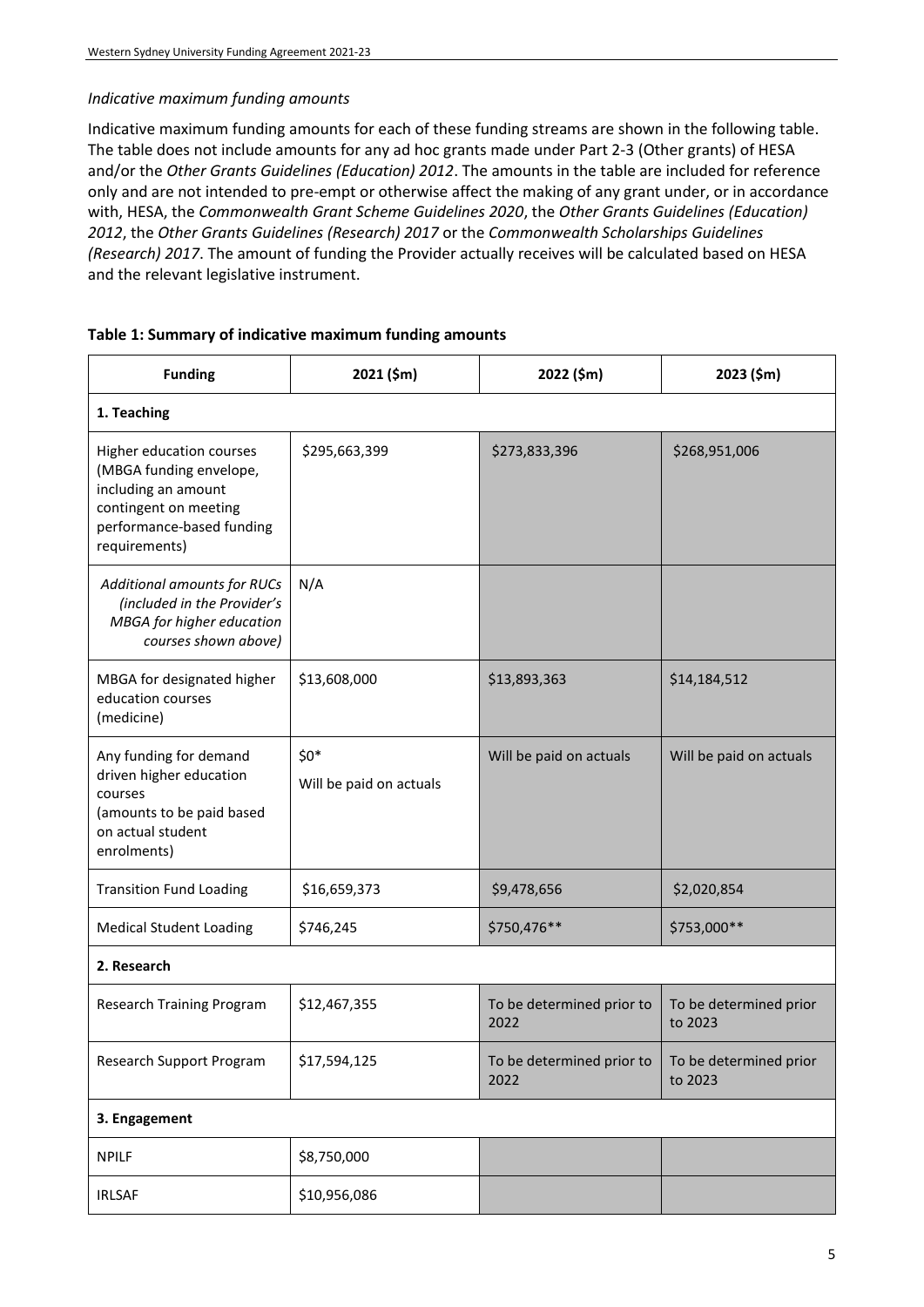#### *Indicative maximum funding amounts*

Indicative maximum funding amounts for each of these funding streams are shown in the following table. The table does not include amounts for any ad hoc grants made under Part 2-3 (Other grants) of HESA and/or the *Other Grants Guidelines (Education) 2012*. The amounts in the table are included for reference only and are not intended to pre-empt or otherwise affect the making of any grant under, or in accordance with, HESA, the *Commonwealth Grant Scheme Guidelines 2020*, the *Other Grants Guidelines (Education) 2012*, the *Other Grants Guidelines (Research) 2017* or the *Commonwealth Scholarships Guidelines (Research) 2017*. The amount of funding the Provider actually receives will be calculated based on HESA and the relevant legislative instrument.

| <b>Funding</b>                                                                                                                                    | 2021 (\$m)                       | 2022 (\$m)                        | 2023 (\$m)                        |
|---------------------------------------------------------------------------------------------------------------------------------------------------|----------------------------------|-----------------------------------|-----------------------------------|
| 1. Teaching                                                                                                                                       |                                  |                                   |                                   |
| Higher education courses<br>(MBGA funding envelope,<br>including an amount<br>contingent on meeting<br>performance-based funding<br>requirements) | \$295,663,399                    | \$273,833,396                     | \$268,951,006                     |
| Additional amounts for RUCs<br>(included in the Provider's<br><b>MBGA</b> for higher education<br>courses shown above)                            | N/A                              |                                   |                                   |
| MBGA for designated higher<br>education courses<br>(medicine)                                                                                     | \$13,608,000                     | \$13,893,363                      | \$14,184,512                      |
| Any funding for demand<br>driven higher education<br>courses<br>(amounts to be paid based<br>on actual student<br>enrolments)                     | $$0*$<br>Will be paid on actuals | Will be paid on actuals           | Will be paid on actuals           |
| <b>Transition Fund Loading</b>                                                                                                                    | \$16,659,373                     | \$9,478,656                       | \$2,020,854                       |
| <b>Medical Student Loading</b>                                                                                                                    | \$746,245                        | \$750,476**                       | \$753,000**                       |
| 2. Research                                                                                                                                       |                                  |                                   |                                   |
| Research Training Program                                                                                                                         | \$12,467,355                     | To be determined prior to<br>2022 | To be determined prior<br>to 2023 |
| Research Support Program                                                                                                                          | \$17,594,125                     | To be determined prior to<br>2022 | To be determined prior<br>to 2023 |
| 3. Engagement                                                                                                                                     |                                  |                                   |                                   |
| <b>NPILF</b>                                                                                                                                      | \$8,750,000                      |                                   |                                   |
| <b>IRLSAF</b>                                                                                                                                     | \$10,956,086                     |                                   |                                   |

#### **Table 1: Summary of indicative maximum funding amounts**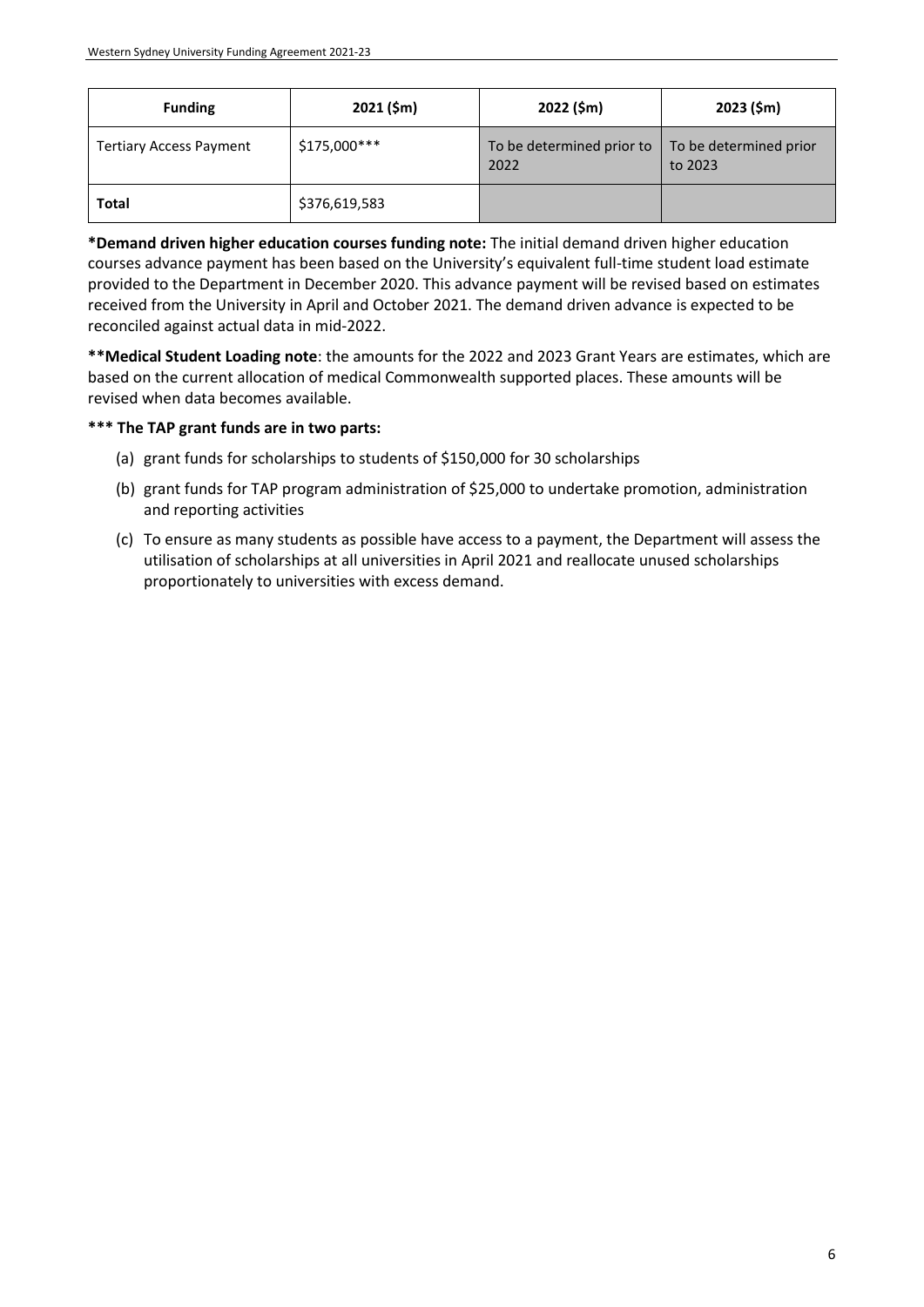| <b>Funding</b>                 | $2021$ (\$m)  | 2022 (\$m)                        | 2023 (\$m)                        |
|--------------------------------|---------------|-----------------------------------|-----------------------------------|
| <b>Tertiary Access Payment</b> | \$175,000***  | To be determined prior to<br>2022 | To be determined prior<br>to 2023 |
| <b>Total</b>                   | \$376,619,583 |                                   |                                   |

**\*Demand driven higher education courses funding note:** The initial demand driven higher education courses advance payment has been based on the University's equivalent full-time student load estimate provided to the Department in December 2020. This advance payment will be revised based on estimates received from the University in April and October 2021. The demand driven advance is expected to be reconciled against actual data in mid-2022.

**\*\*Medical Student Loading note**: the amounts for the 2022 and 2023 Grant Years are estimates, which are based on the current allocation of medical Commonwealth supported places. These amounts will be revised when data becomes available.

#### **\*\*\* The TAP grant funds are in two parts:**

- (a) grant funds for scholarships to students of \$150,000 for 30 scholarships
- (b) grant funds for TAP program administration of \$25,000 to undertake promotion, administration and reporting activities
- (c) To ensure as many students as possible have access to a payment, the Department will assess the utilisation of scholarships at all universities in April 2021 and reallocate unused scholarships proportionately to universities with excess demand.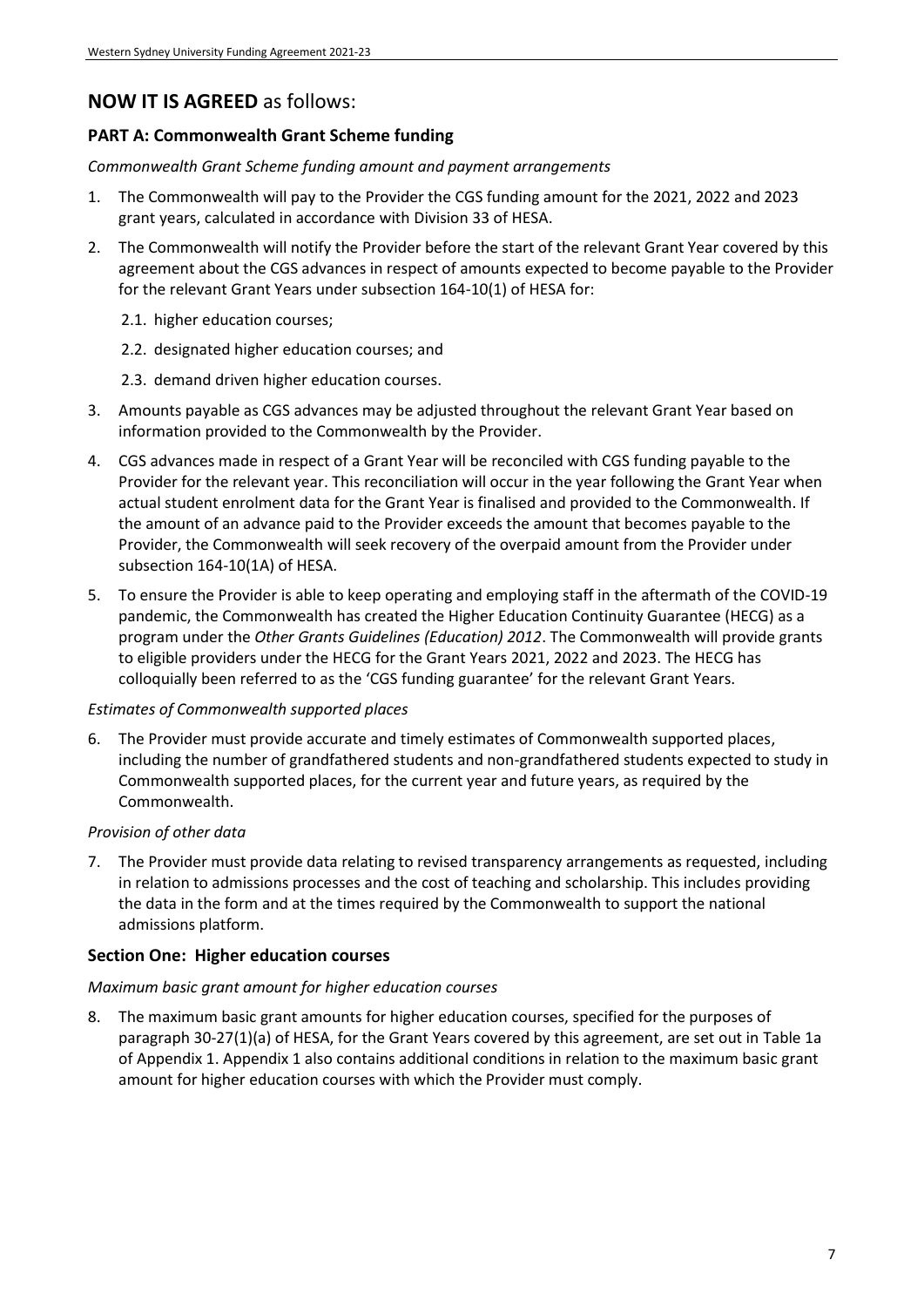# **NOW IT IS AGREED** as follows:

# **PART A: Commonwealth Grant Scheme funding**

*Commonwealth Grant Scheme funding amount and payment arrangements*

- 1. The Commonwealth will pay to the Provider the CGS funding amount for the 2021, 2022 and 2023 grant years, calculated in accordance with Division 33 of HESA.
- 2. The Commonwealth will notify the Provider before the start of the relevant Grant Year covered by this agreement about the CGS advances in respect of amounts expected to become payable to the Provider for the relevant Grant Years under subsection 164-10(1) of HESA for:
	- 2.1. higher education courses;
	- 2.2. designated higher education courses; and
	- 2.3. demand driven higher education courses.
- 3. Amounts payable as CGS advances may be adjusted throughout the relevant Grant Year based on information provided to the Commonwealth by the Provider.
- 4. CGS advances made in respect of a Grant Year will be reconciled with CGS funding payable to the Provider for the relevant year. This reconciliation will occur in the year following the Grant Year when actual student enrolment data for the Grant Year is finalised and provided to the Commonwealth. If the amount of an advance paid to the Provider exceeds the amount that becomes payable to the Provider, the Commonwealth will seek recovery of the overpaid amount from the Provider under subsection 164-10(1A) of HESA.
- 5. To ensure the Provider is able to keep operating and employing staff in the aftermath of the COVID-19 pandemic, the Commonwealth has created the Higher Education Continuity Guarantee (HECG) as a program under the *Other Grants Guidelines (Education) 2012*. The Commonwealth will provide grants to eligible providers under the HECG for the Grant Years 2021, 2022 and 2023. The HECG has colloquially been referred to as the 'CGS funding guarantee' for the relevant Grant Years.

# *Estimates of Commonwealth supported places*

6. The Provider must provide accurate and timely estimates of Commonwealth supported places, including the number of grandfathered students and non-grandfathered students expected to study in Commonwealth supported places, for the current year and future years, as required by the Commonwealth.

# *Provision of other data*

7. The Provider must provide data relating to revised transparency arrangements as requested, including in relation to admissions processes and the cost of teaching and scholarship. This includes providing the data in the form and at the times required by the Commonwealth to support the national admissions platform.

#### **Section One: Higher education courses**

#### *Maximum basic grant amount for higher education courses*

8. The maximum basic grant amounts for higher education courses, specified for the purposes of paragraph 30-27(1)(a) of HESA, for the Grant Years covered by this agreement, are set out in Table 1a of Appendix 1. Appendix 1 also contains additional conditions in relation to the maximum basic grant amount for higher education courses with which the Provider must comply.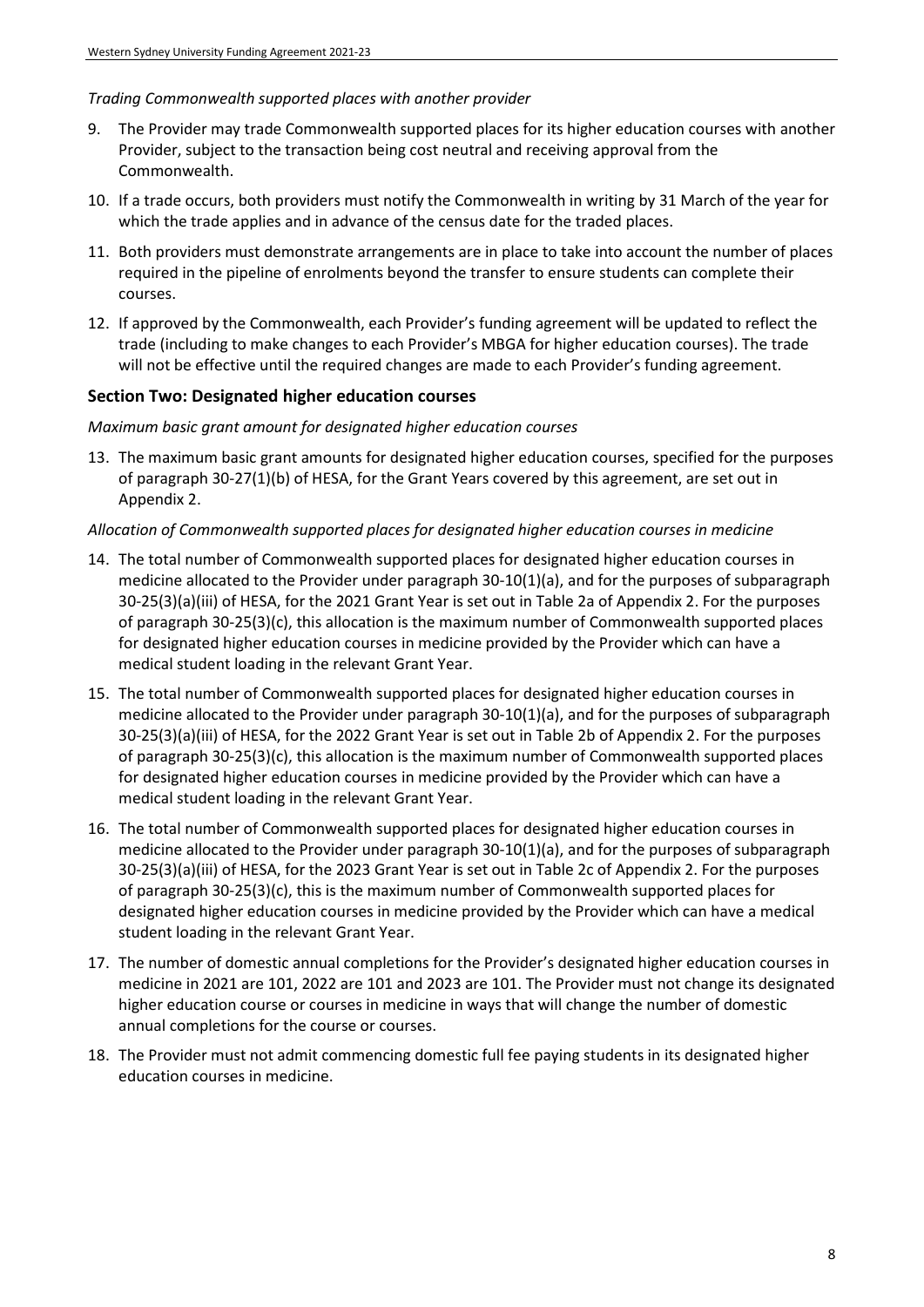#### *Trading Commonwealth supported places with another provider*

- 9. The Provider may trade Commonwealth supported places for its higher education courses with another Provider, subject to the transaction being cost neutral and receiving approval from the Commonwealth.
- 10. If a trade occurs, both providers must notify the Commonwealth in writing by 31 March of the year for which the trade applies and in advance of the census date for the traded places.
- 11. Both providers must demonstrate arrangements are in place to take into account the number of places required in the pipeline of enrolments beyond the transfer to ensure students can complete their courses.
- 12. If approved by the Commonwealth, each Provider's funding agreement will be updated to reflect the trade (including to make changes to each Provider's MBGA for higher education courses). The trade will not be effective until the required changes are made to each Provider's funding agreement.

# **Section Two: Designated higher education courses**

#### *Maximum basic grant amount for designated higher education courses*

13. The maximum basic grant amounts for designated higher education courses, specified for the purposes of paragraph 30-27(1)(b) of HESA, for the Grant Years covered by this agreement, are set out in Appendix 2.

#### *Allocation of Commonwealth supported places for designated higher education courses in medicine*

- 14. The total number of Commonwealth supported places for designated higher education courses in medicine allocated to the Provider under paragraph 30-10(1)(a), and for the purposes of subparagraph 30-25(3)(a)(iii) of HESA, for the 2021 Grant Year is set out in Table 2a of Appendix 2. For the purposes of paragraph 30-25(3)(c), this allocation is the maximum number of Commonwealth supported places for designated higher education courses in medicine provided by the Provider which can have a medical student loading in the relevant Grant Year.
- 15. The total number of Commonwealth supported places for designated higher education courses in medicine allocated to the Provider under paragraph 30-10(1)(a), and for the purposes of subparagraph 30-25(3)(a)(iii) of HESA, for the 2022 Grant Year is set out in Table 2b of Appendix 2. For the purposes of paragraph 30-25(3)(c), this allocation is the maximum number of Commonwealth supported places for designated higher education courses in medicine provided by the Provider which can have a medical student loading in the relevant Grant Year.
- 16. The total number of Commonwealth supported places for designated higher education courses in medicine allocated to the Provider under paragraph 30-10(1)(a), and for the purposes of subparagraph 30-25(3)(a)(iii) of HESA, for the 2023 Grant Year is set out in Table 2c of Appendix 2. For the purposes of paragraph 30-25(3)(c), this is the maximum number of Commonwealth supported places for designated higher education courses in medicine provided by the Provider which can have a medical student loading in the relevant Grant Year.
- 17. The number of domestic annual completions for the Provider's designated higher education courses in medicine in 2021 are 101, 2022 are 101 and 2023 are 101. The Provider must not change its designated higher education course or courses in medicine in ways that will change the number of domestic annual completions for the course or courses.
- 18. The Provider must not admit commencing domestic full fee paying students in its designated higher education courses in medicine.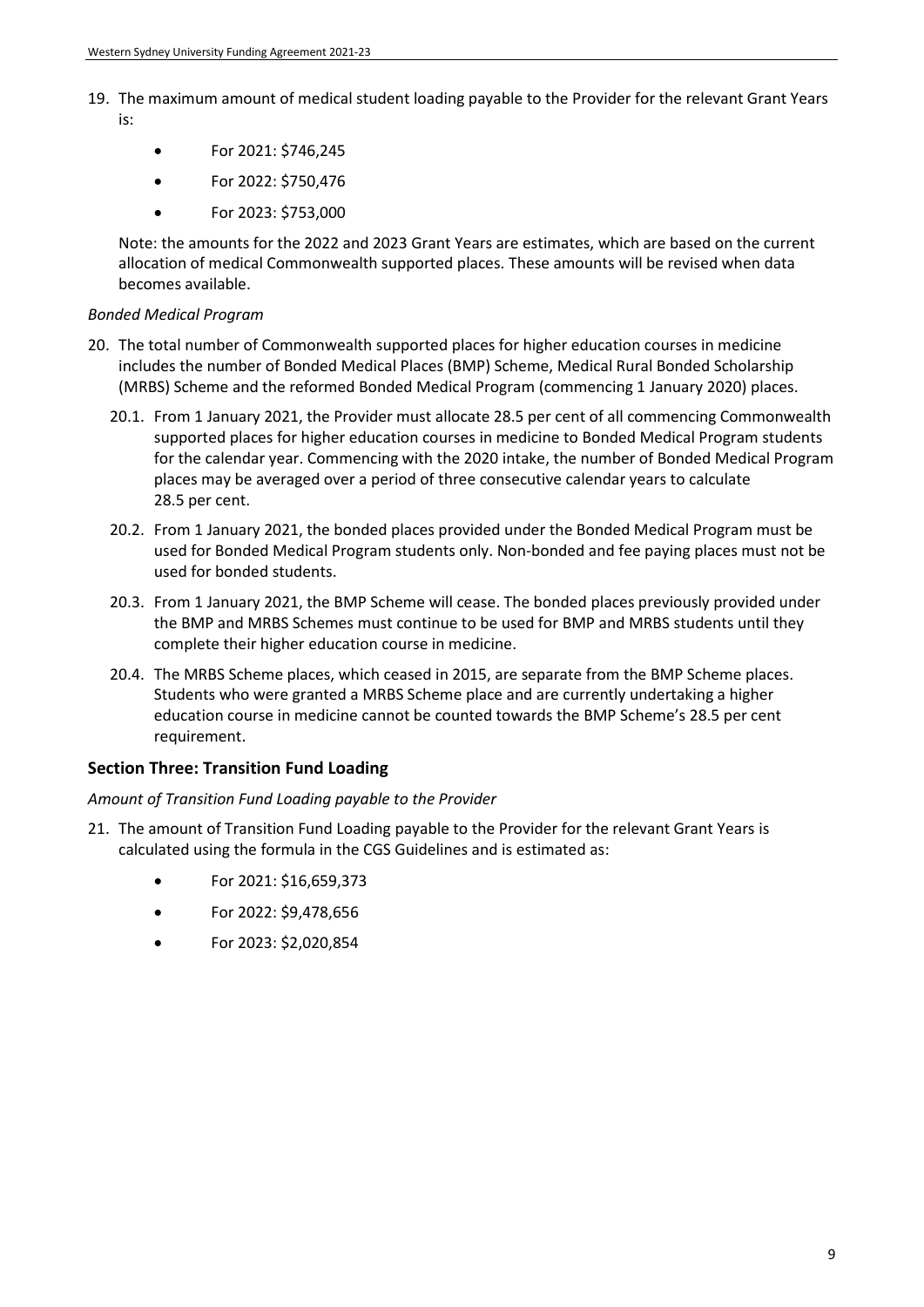- 19. The maximum amount of medical student loading payable to the Provider for the relevant Grant Years is:
	- For 2021: \$746,245
	- For 2022: \$750,476
	- For 2023: \$753,000

Note: the amounts for the 2022 and 2023 Grant Years are estimates, which are based on the current allocation of medical Commonwealth supported places. These amounts will be revised when data becomes available.

# *Bonded Medical Program*

- 20. The total number of Commonwealth supported places for higher education courses in medicine includes the number of Bonded Medical Places (BMP) Scheme, Medical Rural Bonded Scholarship (MRBS) Scheme and the reformed Bonded Medical Program (commencing 1 January 2020) places.
	- 20.1. From 1 January 2021, the Provider must allocate 28.5 per cent of all commencing Commonwealth supported places for higher education courses in medicine to Bonded Medical Program students for the calendar year. Commencing with the 2020 intake, the number of Bonded Medical Program places may be averaged over a period of three consecutive calendar years to calculate 28.5 per cent.
	- 20.2. From 1 January 2021, the bonded places provided under the Bonded Medical Program must be used for Bonded Medical Program students only. Non-bonded and fee paying places must not be used for bonded students.
	- 20.3. From 1 January 2021, the BMP Scheme will cease. The bonded places previously provided under the BMP and MRBS Schemes must continue to be used for BMP and MRBS students until they complete their higher education course in medicine.
	- 20.4. The MRBS Scheme places, which ceased in 2015, are separate from the BMP Scheme places. Students who were granted a MRBS Scheme place and are currently undertaking a higher education course in medicine cannot be counted towards the BMP Scheme's 28.5 per cent requirement.

# **Section Three: Transition Fund Loading**

# *Amount of Transition Fund Loading payable to the Provider*

- 21. The amount of Transition Fund Loading payable to the Provider for the relevant Grant Years is calculated using the formula in the CGS Guidelines and is estimated as:
	- For 2021: \$16,659,373
	- For 2022: \$9,478,656
	- For 2023: \$2,020,854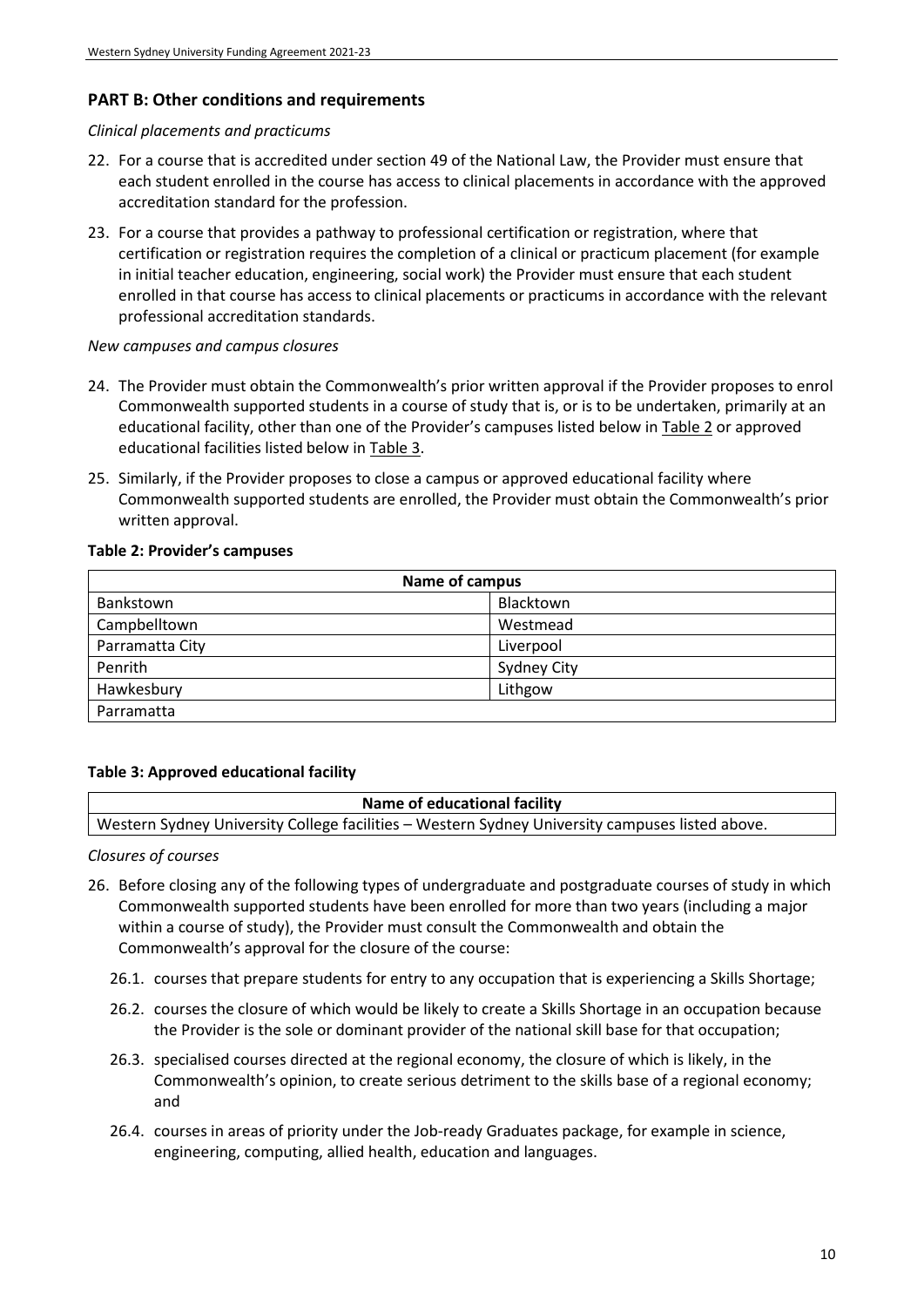# **PART B: Other conditions and requirements**

#### *Clinical placements and practicums*

- 22. For a course that is accredited under section 49 of the National Law, the Provider must ensure that each student enrolled in the course has access to clinical placements in accordance with the approved accreditation standard for the profession.
- 23. For a course that provides a pathway to professional certification or registration, where that certification or registration requires the completion of a clinical or practicum placement (for example in initial teacher education, engineering, social work) the Provider must ensure that each student enrolled in that course has access to clinical placements or practicums in accordance with the relevant professional accreditation standards.

# *New campuses and campus closures*

- 24. The Provider must obtain the Commonwealth's prior written approval if the Provider proposes to enrol Commonwealth supported students in a course of study that is, or is to be undertaken, primarily at an educational facility, other than one of the Provider's campuses listed below in Table 2 or approved educational facilities listed below in Table 3.
- 25. Similarly, if the Provider proposes to close a campus or approved educational facility where Commonwealth supported students are enrolled, the Provider must obtain the Commonwealth's prior written approval.

#### **Table 2: Provider's campuses**

| Name of campus  |             |  |  |
|-----------------|-------------|--|--|
| Bankstown       | Blacktown   |  |  |
| Campbelltown    | Westmead    |  |  |
| Parramatta City | Liverpool   |  |  |
| Penrith         | Sydney City |  |  |
| Hawkesbury      | Lithgow     |  |  |
| Parramatta      |             |  |  |

# **Table 3: Approved educational facility**

| Name of educational facility                                                                    |
|-------------------------------------------------------------------------------------------------|
| Western Sydney University College facilities - Western Sydney University campuses listed above. |

*Closures of courses*

- 26. Before closing any of the following types of undergraduate and postgraduate courses of study in which Commonwealth supported students have been enrolled for more than two years (including a major within a course of study), the Provider must consult the Commonwealth and obtain the Commonwealth's approval for the closure of the course:
	- 26.1. courses that prepare students for entry to any occupation that is experiencing a Skills Shortage;
	- 26.2. courses the closure of which would be likely to create a Skills Shortage in an occupation because the Provider is the sole or dominant provider of the national skill base for that occupation;
	- 26.3. specialised courses directed at the regional economy, the closure of which is likely, in the Commonwealth's opinion, to create serious detriment to the skills base of a regional economy; and
	- 26.4. courses in areas of priority under the Job-ready Graduates package, for example in science, engineering, computing, allied health, education and languages.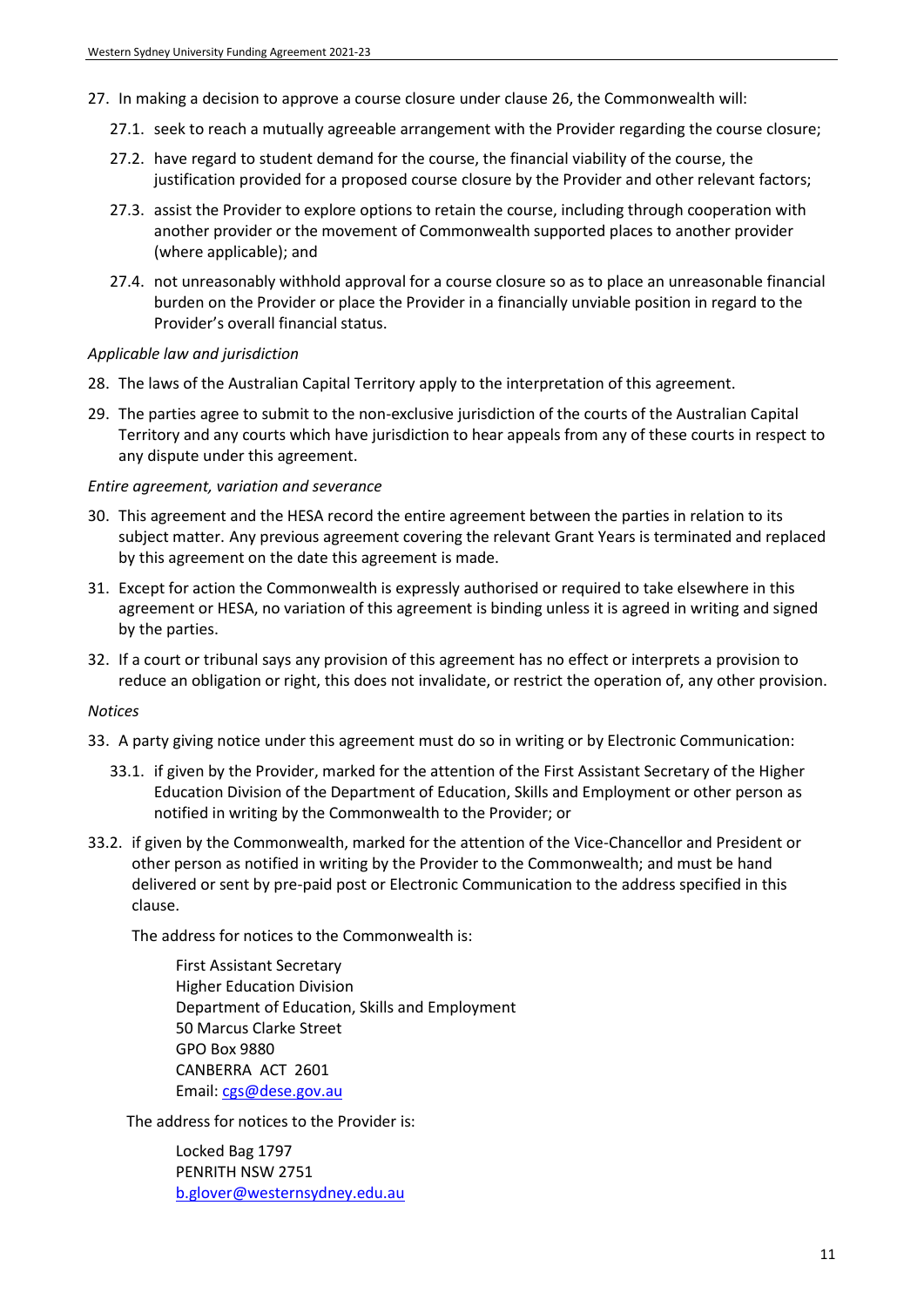- 27. In making a decision to approve a course closure under clause 26, the Commonwealth will:
	- 27.1. seek to reach a mutually agreeable arrangement with the Provider regarding the course closure;
	- 27.2. have regard to student demand for the course, the financial viability of the course, the justification provided for a proposed course closure by the Provider and other relevant factors;
	- 27.3. assist the Provider to explore options to retain the course, including through cooperation with another provider or the movement of Commonwealth supported places to another provider (where applicable); and
	- 27.4. not unreasonably withhold approval for a course closure so as to place an unreasonable financial burden on the Provider or place the Provider in a financially unviable position in regard to the Provider's overall financial status.

#### *Applicable law and jurisdiction*

- 28. The laws of the Australian Capital Territory apply to the interpretation of this agreement.
- 29. The parties agree to submit to the non-exclusive jurisdiction of the courts of the Australian Capital Territory and any courts which have jurisdiction to hear appeals from any of these courts in respect to any dispute under this agreement.

#### *Entire agreement, variation and severance*

- 30. This agreement and the HESA record the entire agreement between the parties in relation to its subject matter. Any previous agreement covering the relevant Grant Years is terminated and replaced by this agreement on the date this agreement is made.
- 31. Except for action the Commonwealth is expressly authorised or required to take elsewhere in this agreement or HESA, no variation of this agreement is binding unless it is agreed in writing and signed by the parties.
- 32. If a court or tribunal says any provision of this agreement has no effect or interprets a provision to reduce an obligation or right, this does not invalidate, or restrict the operation of, any other provision.

#### *Notices*

- 33. A party giving notice under this agreement must do so in writing or by Electronic Communication:
	- 33.1. if given by the Provider, marked for the attention of the First Assistant Secretary of the Higher Education Division of the Department of Education, Skills and Employment or other person as notified in writing by the Commonwealth to the Provider; or
- 33.2. if given by the Commonwealth, marked for the attention of the Vice-Chancellor and President or other person as notified in writing by the Provider to the Commonwealth; and must be hand delivered or sent by pre-paid post or Electronic Communication to the address specified in this clause.

The address for notices to the Commonwealth is:

First Assistant Secretary Higher Education Division Department of Education, Skills and Employment 50 Marcus Clarke Street GPO Box 9880 CANBERRA ACT 2601 Email: [cgs@dese.gov.au](mailto:cgs@dese.gov.au)

The address for notices to the Provider is:

Locked Bag 1797 PENRITH NSW 2751 [b.glover@westernsydney.edu.au](mailto:b.glover@westernsydney.edu.au)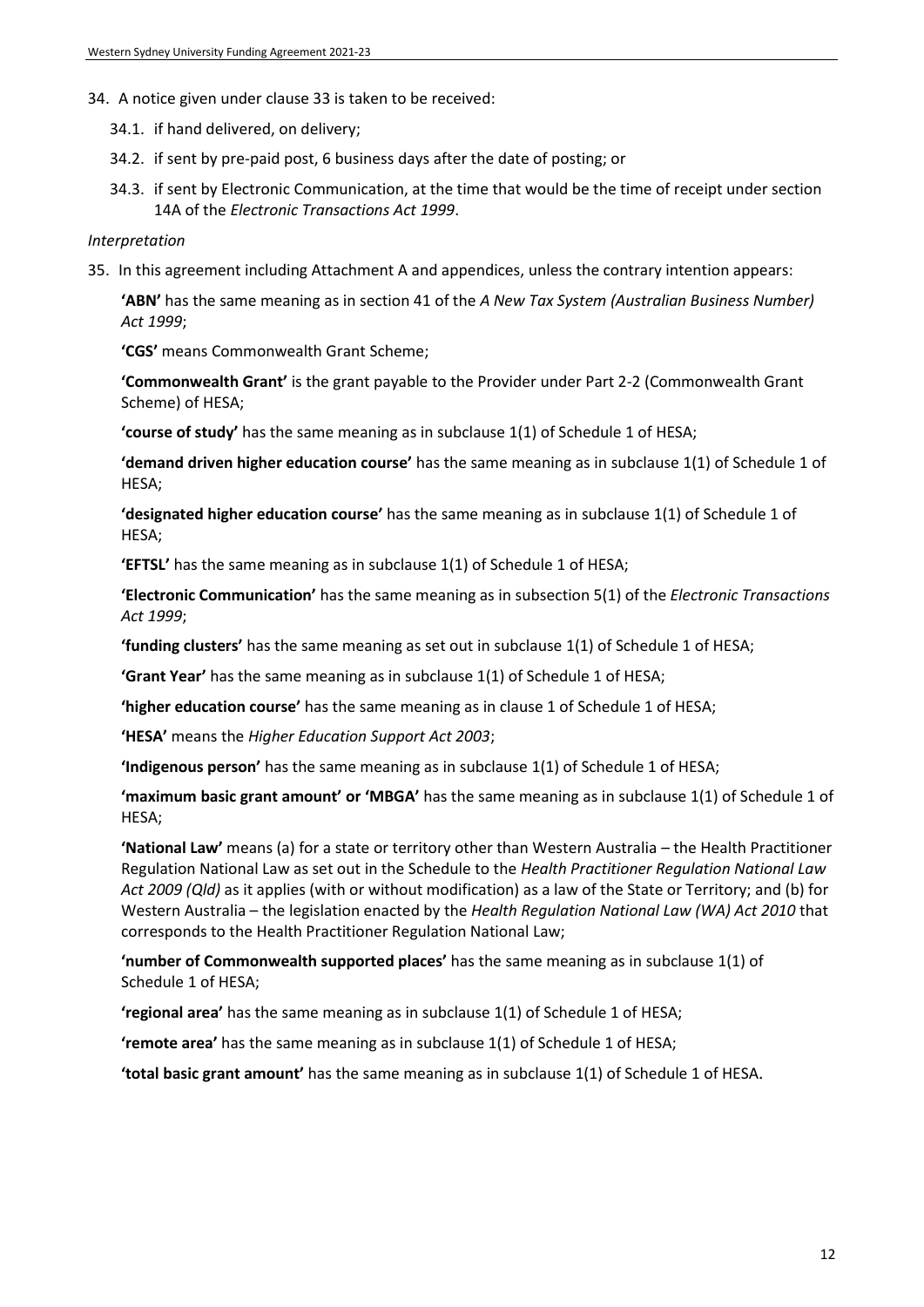- 34. A notice given under clause 33 is taken to be received:
	- 34.1. if hand delivered, on delivery;
	- 34.2. if sent by pre-paid post, 6 business days after the date of posting; or
	- 34.3. if sent by Electronic Communication, at the time that would be the time of receipt under section 14A of the *Electronic Transactions Act 1999*.

#### *Interpretation*

35. In this agreement including Attachment A and appendices, unless the contrary intention appears:

**'ABN'** has the same meaning as in section 41 of the *A New Tax System (Australian Business Number) Act 1999*;

**'CGS'** means Commonwealth Grant Scheme;

**'Commonwealth Grant'** is the grant payable to the Provider under Part 2-2 (Commonwealth Grant Scheme) of HESA;

**'course of study'** has the same meaning as in subclause 1(1) of Schedule 1 of HESA;

**'demand driven higher education course'** has the same meaning as in subclause 1(1) of Schedule 1 of HESA;

**'designated higher education course'** has the same meaning as in subclause 1(1) of Schedule 1 of HESA;

**'EFTSL'** has the same meaning as in subclause 1(1) of Schedule 1 of HESA;

**'Electronic Communication'** has the same meaning as in subsection 5(1) of the *Electronic Transactions Act 1999*;

**'funding clusters'** has the same meaning as set out in subclause 1(1) of Schedule 1 of HESA;

**'Grant Year'** has the same meaning as in subclause 1(1) of Schedule 1 of HESA;

**'higher education course'** has the same meaning as in clause 1 of Schedule 1 of HESA;

**'HESA'** means the *Higher Education Support Act 2003*;

**'Indigenous person'** has the same meaning as in subclause 1(1) of Schedule 1 of HESA;

**'maximum basic grant amount' or 'MBGA'** has the same meaning as in subclause 1(1) of Schedule 1 of HESA;

**'National Law'** means (a) for a state or territory other than Western Australia – the Health Practitioner Regulation National Law as set out in the Schedule to the *Health Practitioner Regulation National Law Act 2009 (Qld)* as it applies (with or without modification) as a law of the State or Territory; and (b) for Western Australia – the legislation enacted by the *Health Regulation National Law (WA) Act 2010* that corresponds to the Health Practitioner Regulation National Law;

**'number of Commonwealth supported places'** has the same meaning as in subclause 1(1) of Schedule 1 of HESA;

**'regional area'** has the same meaning as in subclause 1(1) of Schedule 1 of HESA;

**'remote area'** has the same meaning as in subclause 1(1) of Schedule 1 of HESA;

**'total basic grant amount'** has the same meaning as in subclause 1(1) of Schedule 1 of HESA.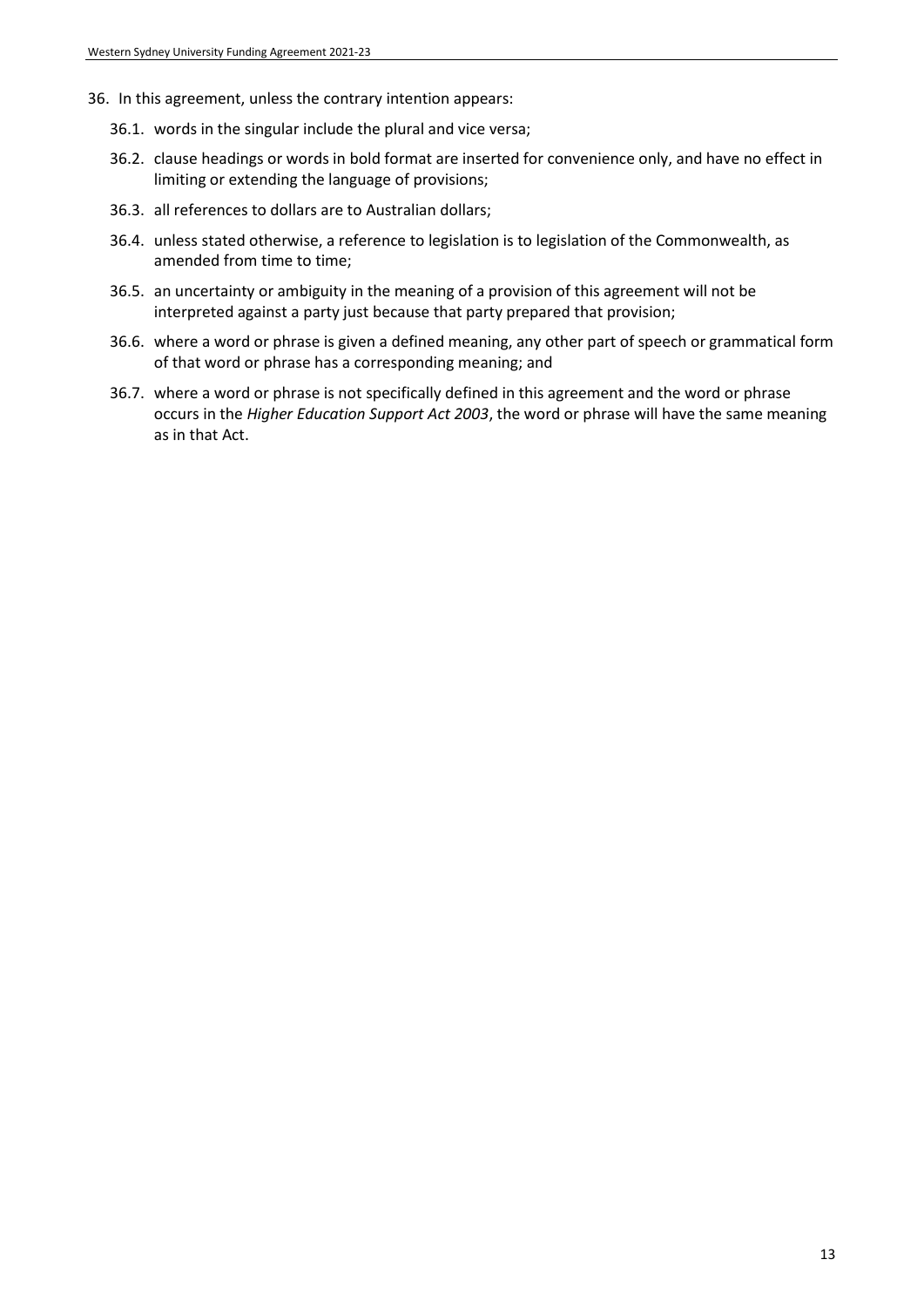- 36. In this agreement, unless the contrary intention appears:
	- 36.1. words in the singular include the plural and vice versa;
	- 36.2. clause headings or words in bold format are inserted for convenience only, and have no effect in limiting or extending the language of provisions;
	- 36.3. all references to dollars are to Australian dollars;
	- 36.4. unless stated otherwise, a reference to legislation is to legislation of the Commonwealth, as amended from time to time;
	- 36.5. an uncertainty or ambiguity in the meaning of a provision of this agreement will not be interpreted against a party just because that party prepared that provision;
	- 36.6. where a word or phrase is given a defined meaning, any other part of speech or grammatical form of that word or phrase has a corresponding meaning; and
	- 36.7. where a word or phrase is not specifically defined in this agreement and the word or phrase occurs in the *Higher Education Support Act 2003*, the word or phrase will have the same meaning as in that Act.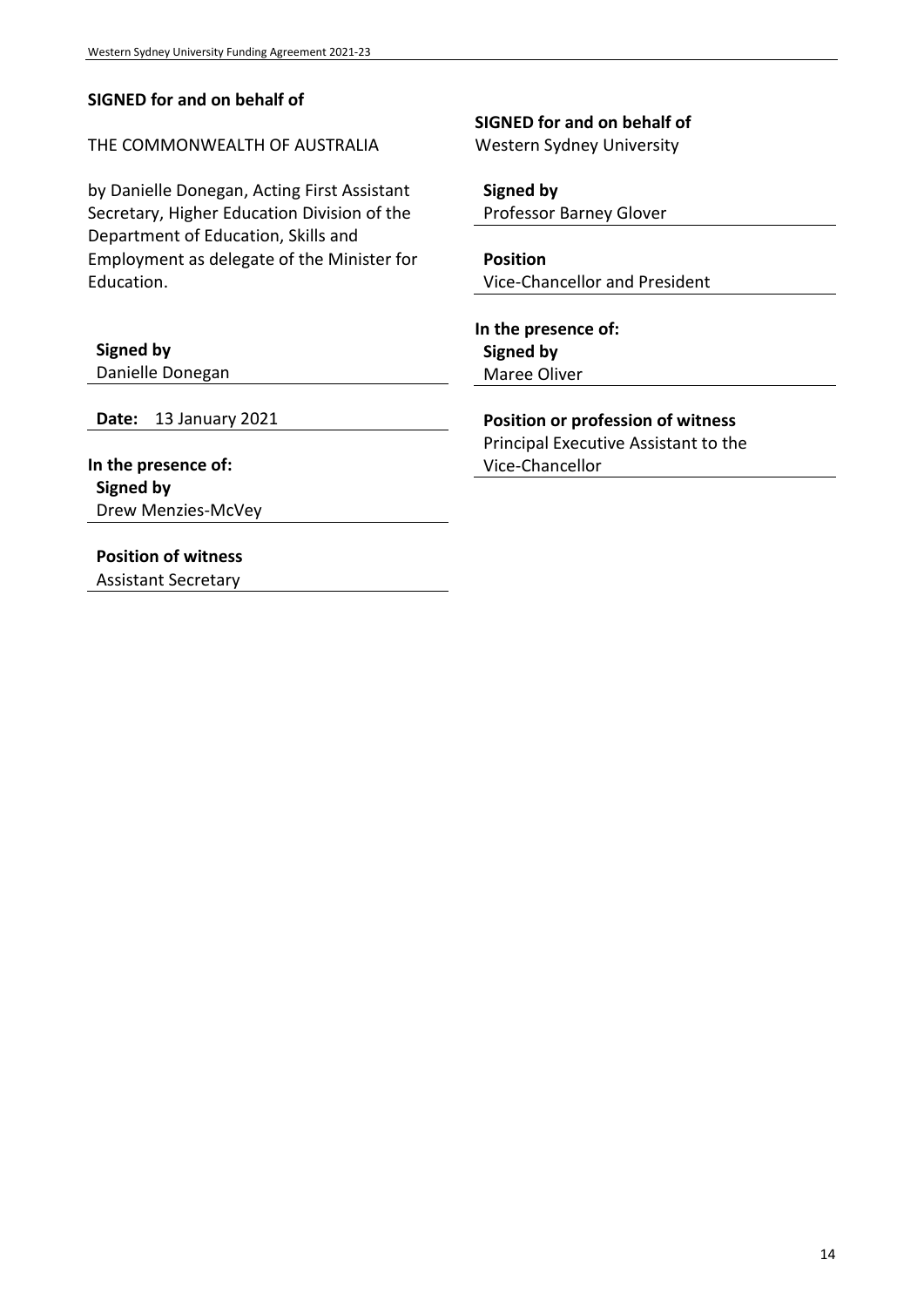# **SIGNED for and on behalf of**

THE COMMONWEALTH OF AUSTRALIA

by Danielle Donegan, Acting First Assistant Secretary, Higher Education Division of the Department of Education, Skills and Employment as delegate of the Minister for Education.

**Signed by**  Danielle Donegan

**Date:** 13 January 2021

**In the presence of: Signed by**  Drew Menzies-McVey

**Position of witness** 

Assistant Secretary

**SIGNED for and on behalf of** Western Sydney University

**Signed by**  Professor Barney Glover

**Position**  Vice-Chancellor and President

**In the presence of: Signed by**  Maree Oliver

**Position or profession of witness**  Principal Executive Assistant to the Vice-Chancellor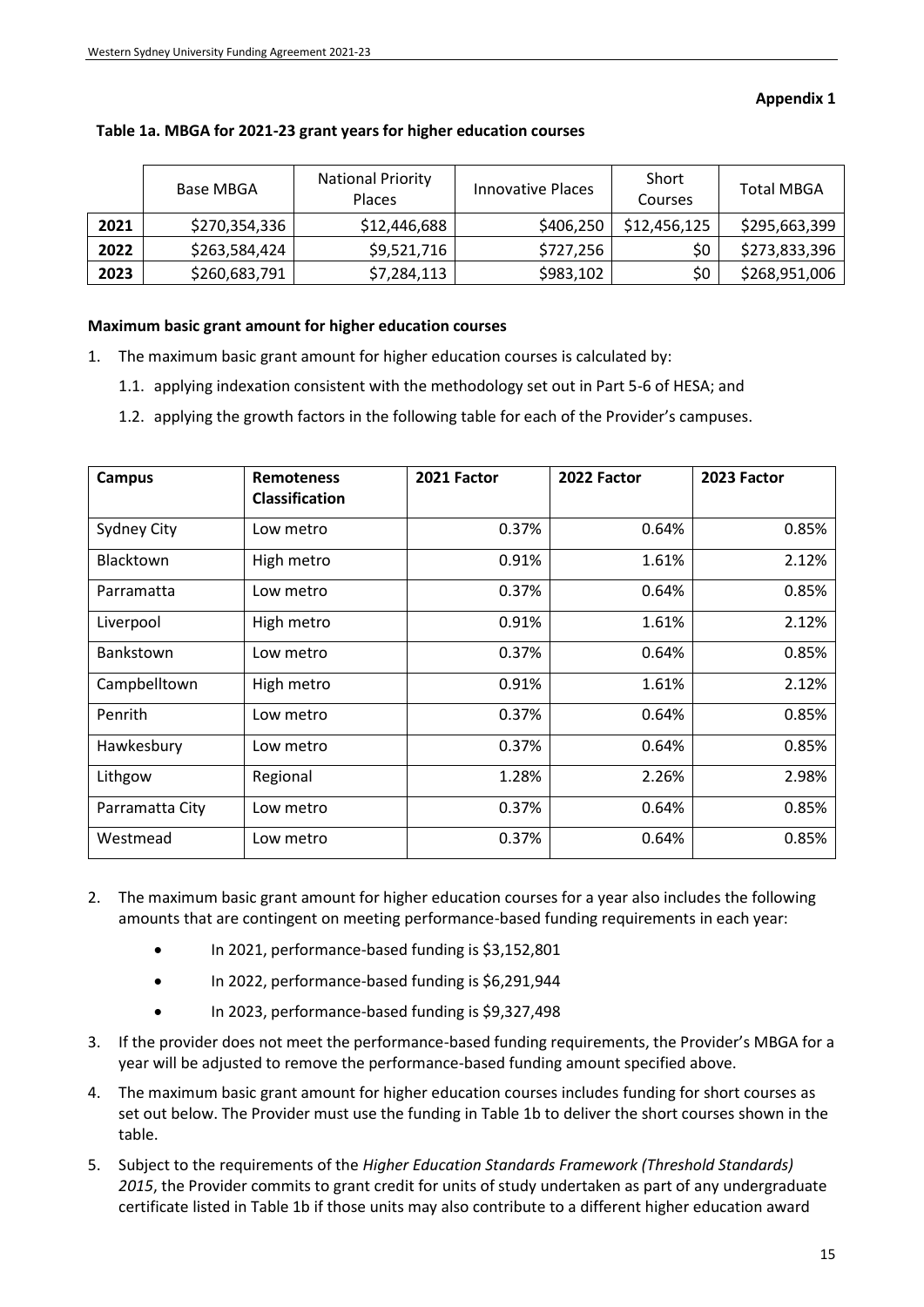#### **Appendix 1**

|      | Base MBGA     | <b>National Priority</b><br><b>Places</b> | Innovative Places | Short<br>Courses | <b>Total MBGA</b> |
|------|---------------|-------------------------------------------|-------------------|------------------|-------------------|
| 2021 | \$270,354,336 | \$12,446,688                              | \$406,250         | \$12,456,125     | \$295,663,399     |
| 2022 | \$263,584,424 | \$9,521,716                               | \$727,256         | \$0              | \$273,833,396     |
| 2023 | \$260,683,791 | \$7,284,113                               | \$983,102         | \$0              | \$268,951,006     |

#### **Table 1a. MBGA for 2021-23 grant years for higher education courses**

#### **Maximum basic grant amount for higher education courses**

- 1. The maximum basic grant amount for higher education courses is calculated by:
	- 1.1. applying indexation consistent with the methodology set out in Part 5-6 of HESA; and
	- 1.2. applying the growth factors in the following table for each of the Provider's campuses.

| <b>Campus</b>   | <b>Remoteness</b><br><b>Classification</b> | 2021 Factor | 2022 Factor | 2023 Factor |
|-----------------|--------------------------------------------|-------------|-------------|-------------|
|                 |                                            |             |             |             |
| Sydney City     | Low metro                                  | 0.37%       | 0.64%       | 0.85%       |
| Blacktown       | High metro                                 | 0.91%       | 1.61%       | 2.12%       |
| Parramatta      | Low metro                                  | 0.37%       | 0.64%       | 0.85%       |
| Liverpool       | High metro                                 | 0.91%       | 1.61%       | 2.12%       |
| Bankstown       | Low metro                                  | 0.37%       | 0.64%       | 0.85%       |
| Campbelltown    | High metro                                 | 0.91%       | 1.61%       | 2.12%       |
| Penrith         | Low metro                                  | 0.37%       | 0.64%       | 0.85%       |
| Hawkesbury      | Low metro                                  | 0.37%       | 0.64%       | 0.85%       |
| Lithgow         | Regional                                   | 1.28%       | 2.26%       | 2.98%       |
| Parramatta City | Low metro                                  | 0.37%       | 0.64%       | 0.85%       |
| Westmead        | Low metro                                  | 0.37%       | 0.64%       | 0.85%       |

- 2. The maximum basic grant amount for higher education courses for a year also includes the following amounts that are contingent on meeting performance-based funding requirements in each year:
	- In 2021, performance-based funding is \$3,152,801
	- In 2022, performance-based funding is \$6,291,944
	- In 2023, performance-based funding is \$9,327,498
- 3. If the provider does not meet the performance-based funding requirements, the Provider's MBGA for a year will be adjusted to remove the performance-based funding amount specified above.
- 4. The maximum basic grant amount for higher education courses includes funding for short courses as set out below. The Provider must use the funding in Table 1b to deliver the short courses shown in the table.
- 5. Subject to the requirements of the *Higher Education Standards Framework (Threshold Standards) 2015*, the Provider commits to grant credit for units of study undertaken as part of any undergraduate certificate listed in Table 1b if those units may also contribute to a different higher education award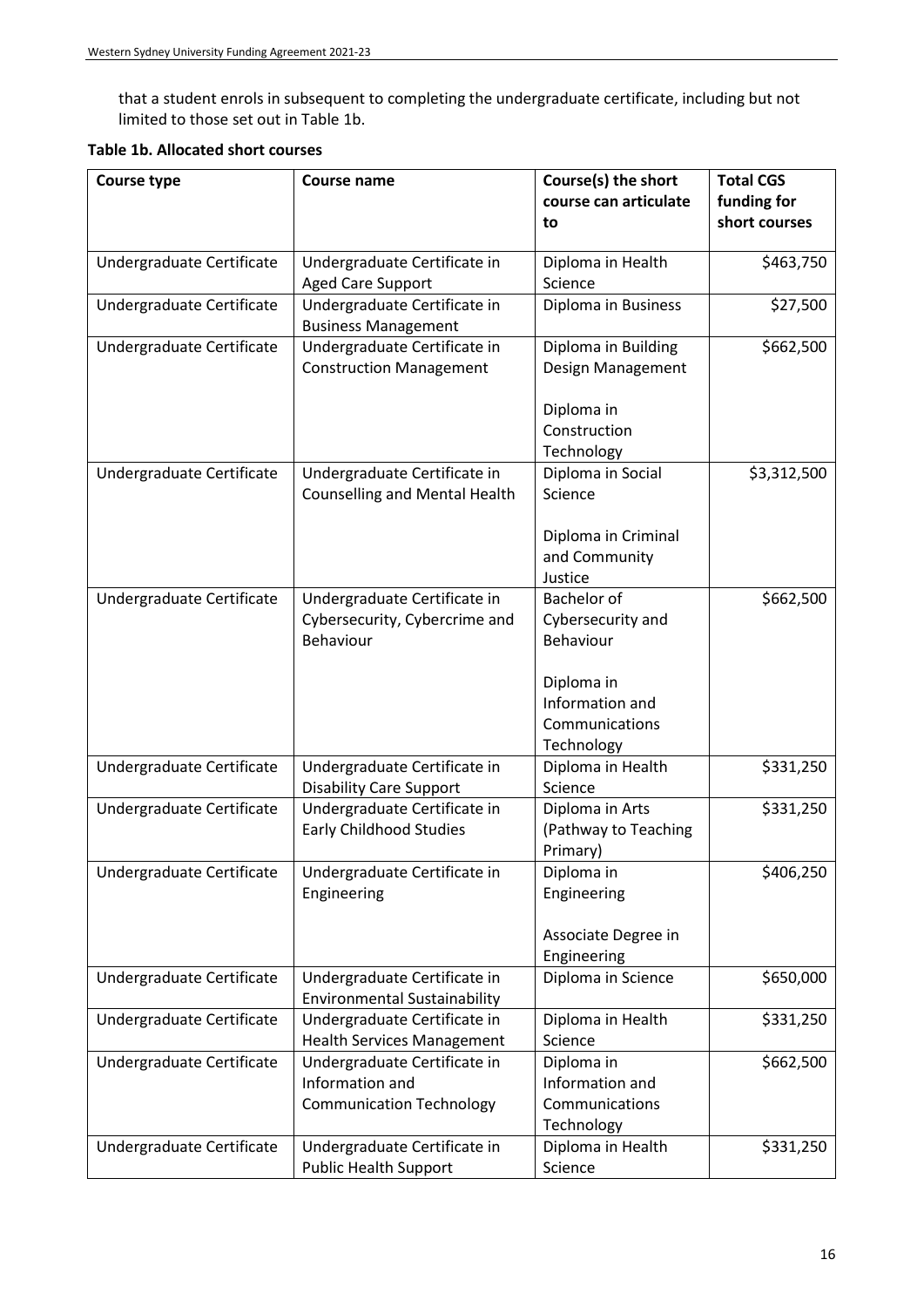that a student enrols in subsequent to completing the undergraduate certificate, including but not limited to those set out in Table 1b.

| <b>Course type</b>        | Course name                                                                        | Course(s) the short<br>course can articulate                  | <b>Total CGS</b><br>funding for |
|---------------------------|------------------------------------------------------------------------------------|---------------------------------------------------------------|---------------------------------|
|                           |                                                                                    | to                                                            | short courses                   |
| Undergraduate Certificate | Undergraduate Certificate in<br><b>Aged Care Support</b>                           | Diploma in Health<br>Science                                  | \$463,750                       |
| Undergraduate Certificate | Undergraduate Certificate in<br><b>Business Management</b>                         | Diploma in Business                                           | \$27,500                        |
| Undergraduate Certificate | Undergraduate Certificate in<br><b>Construction Management</b>                     | Diploma in Building<br>Design Management                      | \$662,500                       |
|                           |                                                                                    | Diploma in<br>Construction<br>Technology                      |                                 |
| Undergraduate Certificate | Undergraduate Certificate in<br><b>Counselling and Mental Health</b>               | Diploma in Social<br>Science                                  | \$3,312,500                     |
|                           |                                                                                    | Diploma in Criminal<br>and Community<br>Justice               |                                 |
| Undergraduate Certificate | Undergraduate Certificate in<br>Cybersecurity, Cybercrime and<br>Behaviour         | <b>Bachelor of</b><br>Cybersecurity and<br>Behaviour          | \$662,500                       |
|                           |                                                                                    | Diploma in<br>Information and<br>Communications<br>Technology |                                 |
| Undergraduate Certificate | Undergraduate Certificate in<br><b>Disability Care Support</b>                     | Diploma in Health<br>Science                                  | \$331,250                       |
| Undergraduate Certificate | Undergraduate Certificate in<br><b>Early Childhood Studies</b>                     | Diploma in Arts<br>(Pathway to Teaching<br>Primary)           | \$331,250                       |
| Undergraduate Certificate | Undergraduate Certificate in<br>Engineering                                        | Diploma in<br>Engineering<br>Associate Degree in              | \$406,250                       |
|                           |                                                                                    | Engineering                                                   |                                 |
| Undergraduate Certificate | Undergraduate Certificate in<br><b>Environmental Sustainability</b>                | Diploma in Science                                            | \$650,000                       |
| Undergraduate Certificate | Undergraduate Certificate in<br><b>Health Services Management</b>                  | Diploma in Health<br>Science                                  | \$331,250                       |
| Undergraduate Certificate | Undergraduate Certificate in<br>Information and<br><b>Communication Technology</b> | Diploma in<br>Information and<br>Communications<br>Technology | \$662,500                       |
| Undergraduate Certificate | Undergraduate Certificate in<br><b>Public Health Support</b>                       | Diploma in Health<br>Science                                  | \$331,250                       |

# **Table 1b. Allocated short courses**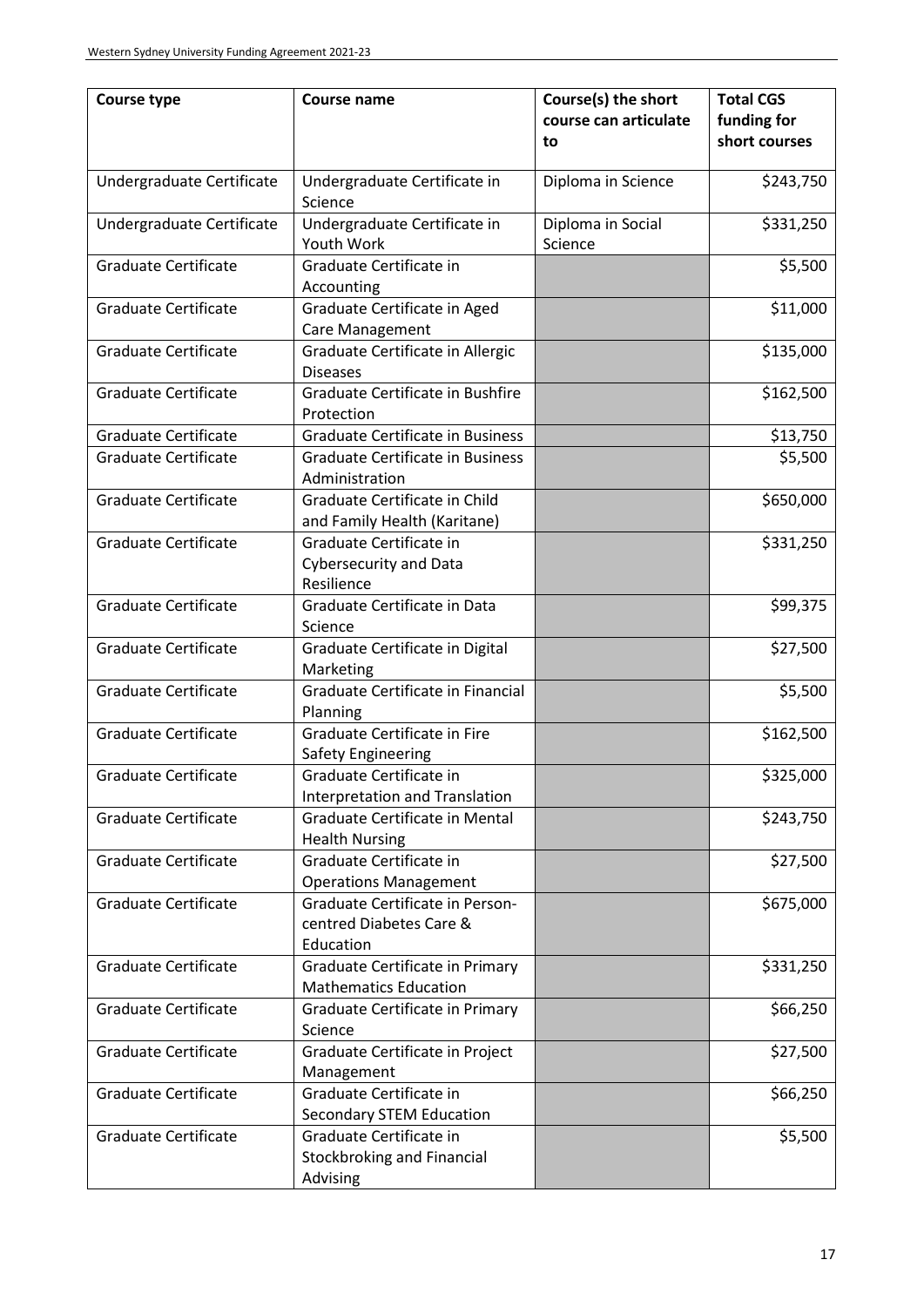| <b>Course type</b>          | Course name                                                              | Course(s) the short<br>course can articulate<br>to | <b>Total CGS</b><br>funding for<br>short courses |
|-----------------------------|--------------------------------------------------------------------------|----------------------------------------------------|--------------------------------------------------|
| Undergraduate Certificate   | Undergraduate Certificate in<br>Science                                  | Diploma in Science                                 | \$243,750                                        |
| Undergraduate Certificate   | Undergraduate Certificate in<br>Youth Work                               | Diploma in Social<br>Science                       | \$331,250                                        |
| <b>Graduate Certificate</b> | Graduate Certificate in<br>Accounting                                    |                                                    | \$5,500                                          |
| <b>Graduate Certificate</b> | Graduate Certificate in Aged<br>Care Management                          |                                                    | \$11,000                                         |
| <b>Graduate Certificate</b> | Graduate Certificate in Allergic<br><b>Diseases</b>                      |                                                    | \$135,000                                        |
| <b>Graduate Certificate</b> | Graduate Certificate in Bushfire<br>Protection                           |                                                    | \$162,500                                        |
| <b>Graduate Certificate</b> | <b>Graduate Certificate in Business</b>                                  |                                                    | \$13,750                                         |
| Graduate Certificate        | <b>Graduate Certificate in Business</b><br>Administration                |                                                    | \$5,500                                          |
| <b>Graduate Certificate</b> | Graduate Certificate in Child<br>and Family Health (Karitane)            |                                                    | \$650,000                                        |
| <b>Graduate Certificate</b> | Graduate Certificate in<br><b>Cybersecurity and Data</b><br>Resilience   |                                                    | \$331,250                                        |
| <b>Graduate Certificate</b> | Graduate Certificate in Data<br>Science                                  |                                                    | \$99,375                                         |
| <b>Graduate Certificate</b> | Graduate Certificate in Digital<br>Marketing                             |                                                    | \$27,500                                         |
| <b>Graduate Certificate</b> | Graduate Certificate in Financial<br>Planning                            |                                                    | \$5,500                                          |
| <b>Graduate Certificate</b> | Graduate Certificate in Fire<br><b>Safety Engineering</b>                |                                                    | \$162,500                                        |
| <b>Graduate Certificate</b> | Graduate Certificate in<br>Interpretation and Translation                |                                                    | \$325,000                                        |
| <b>Graduate Certificate</b> | Graduate Certificate in Mental<br><b>Health Nursing</b>                  |                                                    | \$243,750                                        |
| <b>Graduate Certificate</b> | Graduate Certificate in<br><b>Operations Management</b>                  |                                                    | \$27,500                                         |
| <b>Graduate Certificate</b> | Graduate Certificate in Person-<br>centred Diabetes Care &<br>Education  |                                                    | \$675,000                                        |
| <b>Graduate Certificate</b> | Graduate Certificate in Primary<br><b>Mathematics Education</b>          | \$331,250                                          |                                                  |
| <b>Graduate Certificate</b> | Graduate Certificate in Primary<br>Science                               | \$66,250                                           |                                                  |
| <b>Graduate Certificate</b> | Graduate Certificate in Project<br>Management                            |                                                    | \$27,500                                         |
| <b>Graduate Certificate</b> | Graduate Certificate in<br><b>Secondary STEM Education</b>               |                                                    | \$66,250                                         |
| <b>Graduate Certificate</b> | Graduate Certificate in<br><b>Stockbroking and Financial</b><br>Advising |                                                    | \$5,500                                          |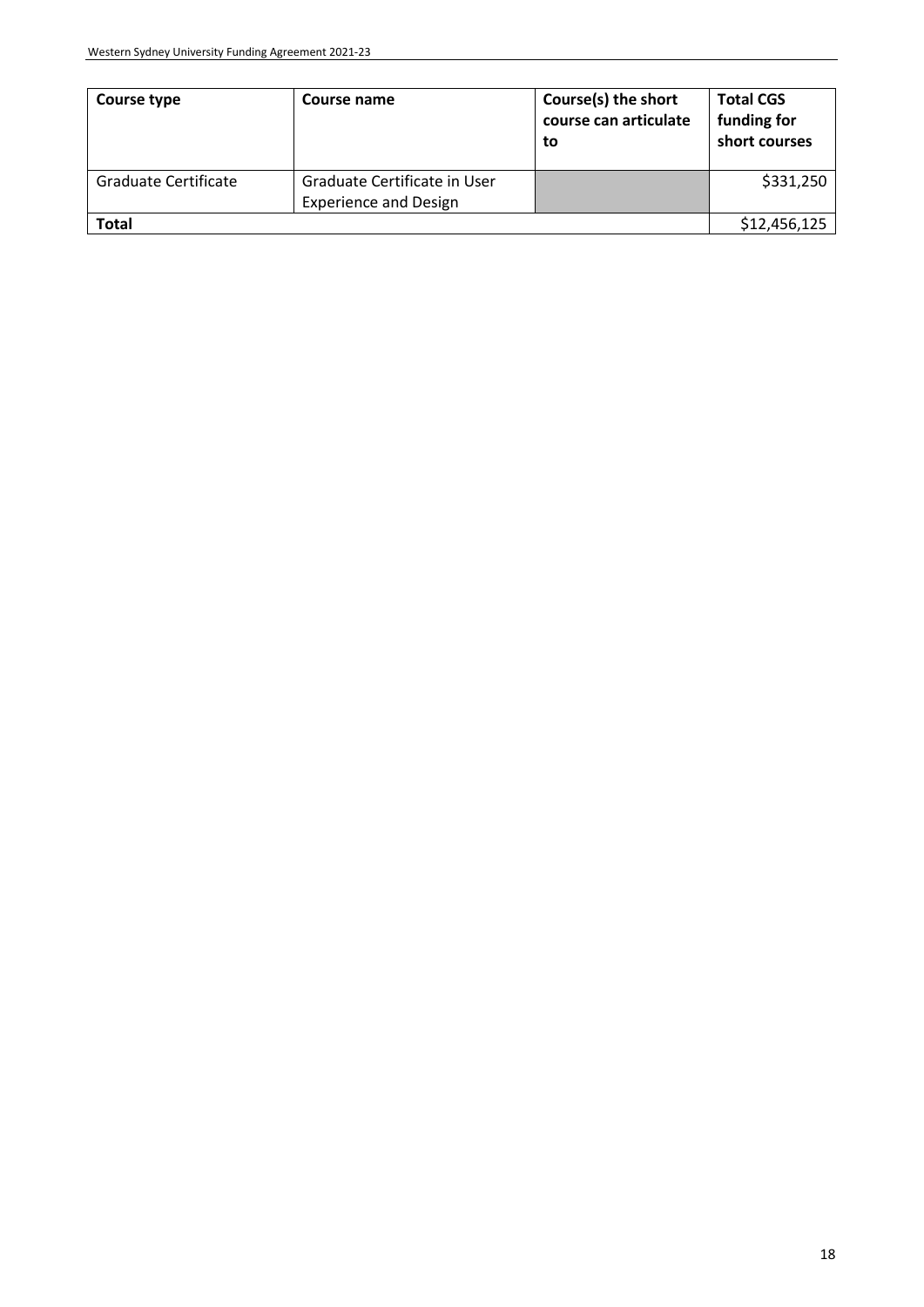| Course type          | Course name                  | Course(s) the short<br>course can articulate<br>to | <b>Total CGS</b><br>funding for<br>short courses |
|----------------------|------------------------------|----------------------------------------------------|--------------------------------------------------|
| Graduate Certificate | Graduate Certificate in User |                                                    | \$331,250                                        |
|                      | <b>Experience and Design</b> |                                                    |                                                  |
| <b>Total</b>         |                              |                                                    | \$12,456,125                                     |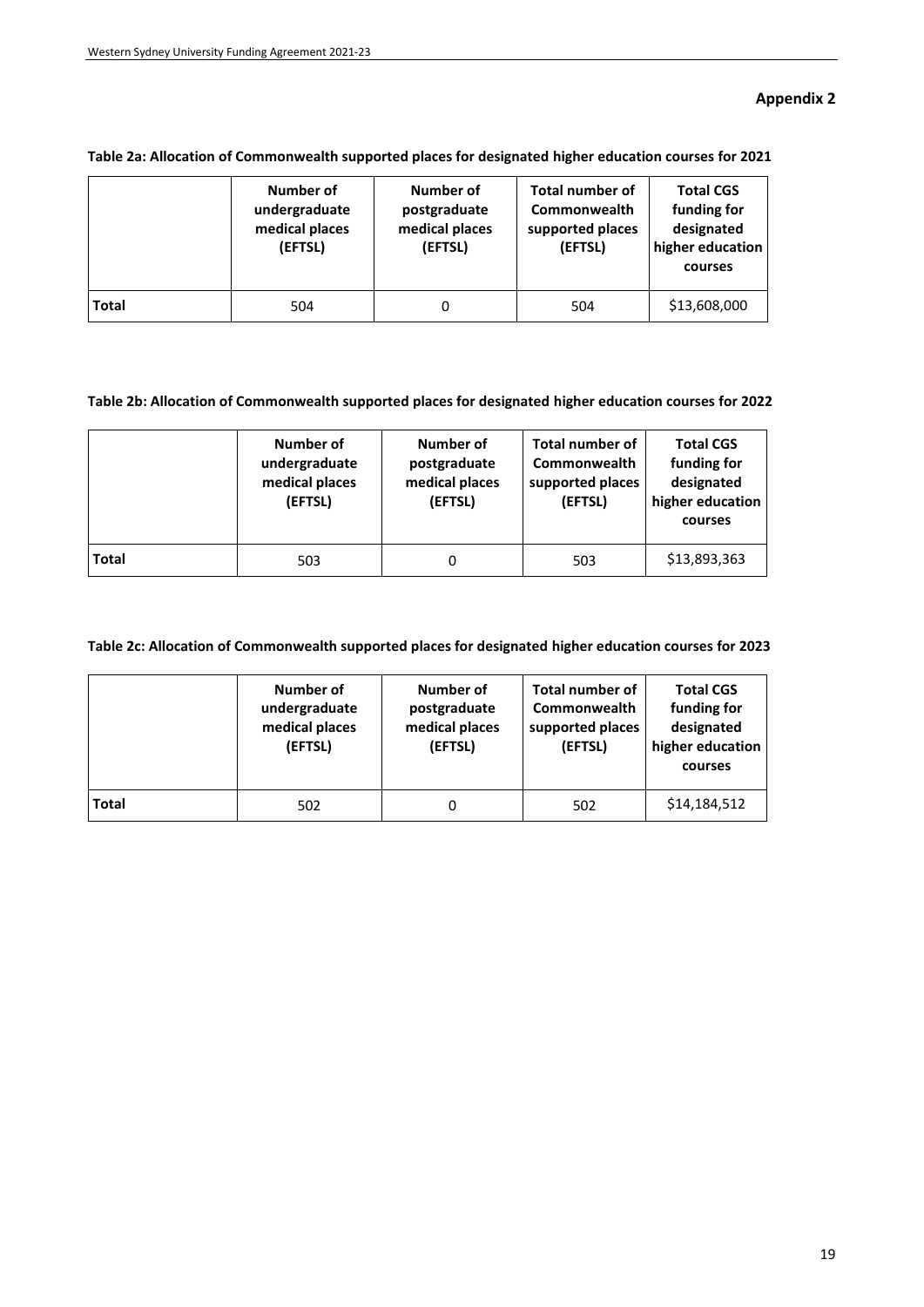#### **Appendix 2**

|              | Number of<br>undergraduate<br>medical places<br>(EFTSL) | Number of<br>postgraduate<br>medical places<br>(EFTSL) | <b>Total number of</b><br>Commonwealth<br>supported places<br>(EFTSL) | <b>Total CGS</b><br>funding for<br>designated<br>higher education<br>courses |
|--------------|---------------------------------------------------------|--------------------------------------------------------|-----------------------------------------------------------------------|------------------------------------------------------------------------------|
| <b>Total</b> | 504                                                     | 0                                                      | 504                                                                   | \$13,608,000                                                                 |

#### **Table 2a: Allocation of Commonwealth supported places for designated higher education courses for 2021**

#### **Table 2b: Allocation of Commonwealth supported places for designated higher education courses for 2022**

|              | Number of<br>undergraduate<br>medical places<br>(EFTSL) | Number of<br>postgraduate<br>medical places<br>(EFTSL) | Total number of<br>Commonwealth<br>supported places<br>(EFTSL) | <b>Total CGS</b><br>funding for<br>designated<br>higher education<br>courses |
|--------------|---------------------------------------------------------|--------------------------------------------------------|----------------------------------------------------------------|------------------------------------------------------------------------------|
| <b>Total</b> | 503                                                     | 0                                                      | 503                                                            | \$13,893,363                                                                 |

#### **Table 2c: Allocation of Commonwealth supported places for designated higher education courses for 2023**

|              | Number of<br>undergraduate<br>medical places<br>(EFTSL) | Number of<br>postgraduate<br>medical places<br>(EFTSL) | Total number of<br>Commonwealth<br>supported places<br>(EFTSL) | <b>Total CGS</b><br>funding for<br>designated<br>higher education<br>courses |
|--------------|---------------------------------------------------------|--------------------------------------------------------|----------------------------------------------------------------|------------------------------------------------------------------------------|
| <b>Total</b> | 502                                                     | 0                                                      | 502                                                            | \$14,184,512                                                                 |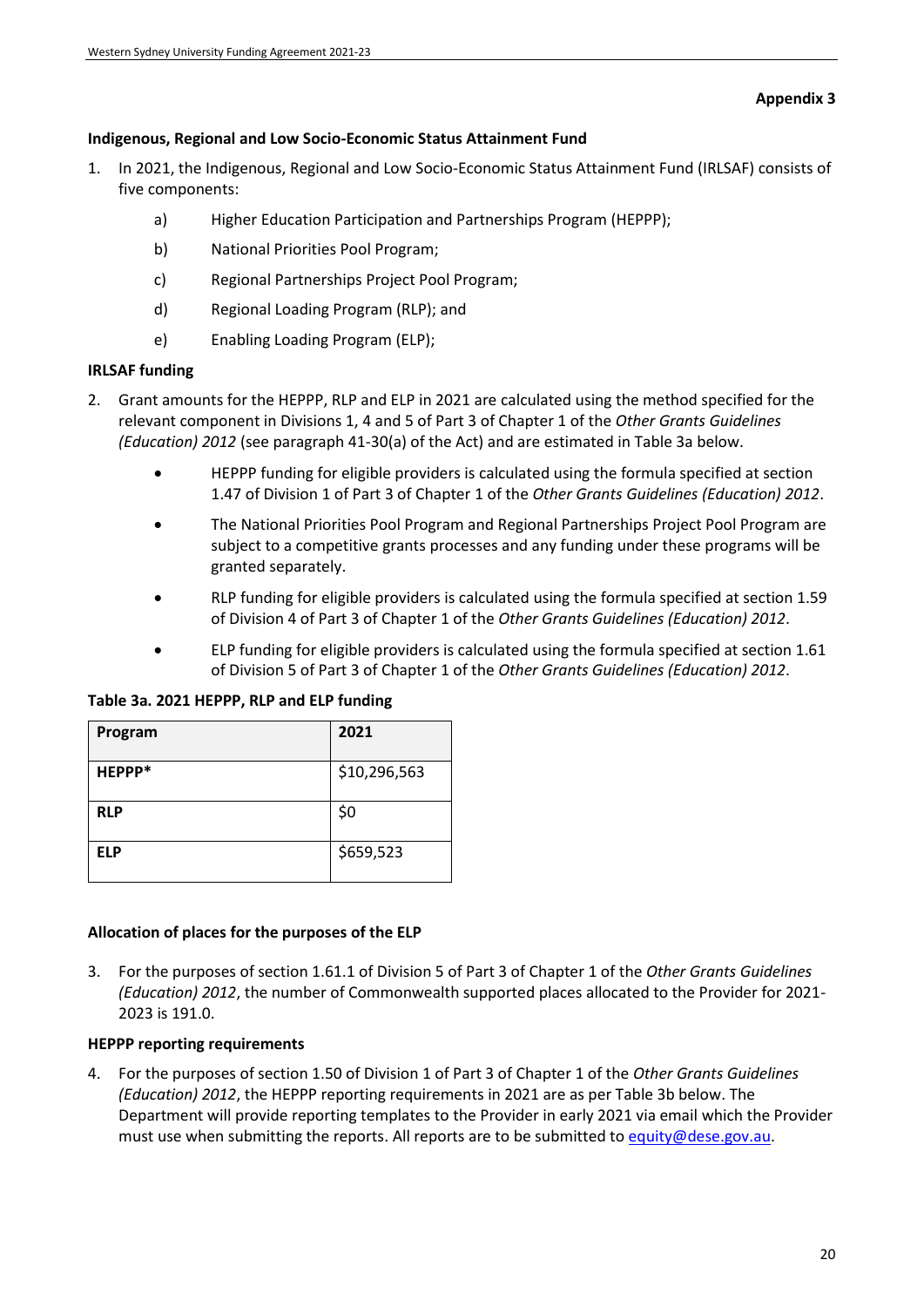#### **Appendix 3**

# **Indigenous, Regional and Low Socio-Economic Status Attainment Fund**

- 1. In 2021, the Indigenous, Regional and Low Socio-Economic Status Attainment Fund (IRLSAF) consists of five components:
	- a) Higher Education Participation and Partnerships Program (HEPPP);
	- b) National Priorities Pool Program;
	- c) Regional Partnerships Project Pool Program;
	- d) Regional Loading Program (RLP); and
	- e) Enabling Loading Program (ELP);

# **IRLSAF funding**

- 2. Grant amounts for the HEPPP, RLP and ELP in 2021 are calculated using the method specified for the relevant component in Divisions 1, 4 and 5 of Part 3 of Chapter 1 of the *Other Grants Guidelines (Education) 2012* (see paragraph 41-30(a) of the Act) and are estimated in Table 3a below.
	- HEPPP funding for eligible providers is calculated using the formula specified at section 1.47 of Division 1 of Part 3 of Chapter 1 of the *Other Grants Guidelines (Education) 2012*.
	- The National Priorities Pool Program and Regional Partnerships Project Pool Program are subject to a competitive grants processes and any funding under these programs will be granted separately.
	- RLP funding for eligible providers is calculated using the formula specified at section 1.59 of Division 4 of Part 3 of Chapter 1 of the *Other Grants Guidelines (Education) 2012*.
	- ELP funding for eligible providers is calculated using the formula specified at section 1.61 of Division 5 of Part 3 of Chapter 1 of the *Other Grants Guidelines (Education) 2012*.

**Table 3a. 2021 HEPPP, RLP and ELP funding**

| Program    | 2021         |
|------------|--------------|
| HEPPP*     | \$10,296,563 |
| <b>RLP</b> | \$0          |
| <b>ELP</b> | \$659,523    |

# **Allocation of places for the purposes of the ELP**

3. For the purposes of section 1.61.1 of Division 5 of Part 3 of Chapter 1 of the *Other Grants Guidelines (Education) 2012*, the number of Commonwealth supported places allocated to the Provider for 2021- 2023 is 191.0.

# **HEPPP reporting requirements**

4. For the purposes of section 1.50 of Division 1 of Part 3 of Chapter 1 of the *Other Grants Guidelines (Education) 2012*, the HEPPP reporting requirements in 2021 are as per Table 3b below. The Department will provide reporting templates to the Provider in early 2021 via email which the Provider must use when submitting the reports. All reports are to be submitted to [equity@dese.gov.au.](mailto:equity@dese.gov.au)